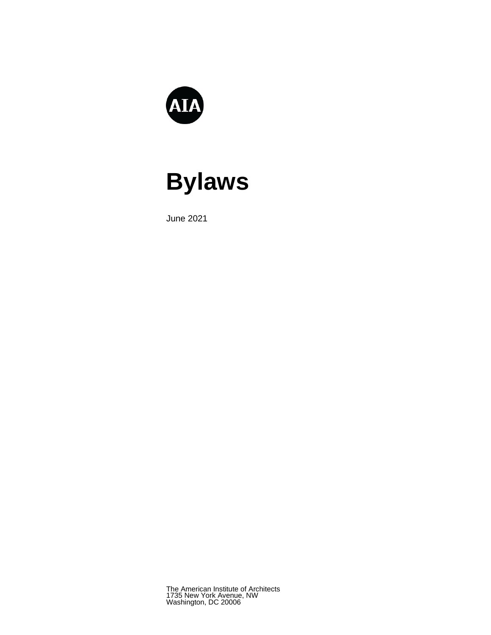

# **Bylaws**

June 2021

The American Institute of Architects 1735 New York Avenue, NW Washington, DC 20006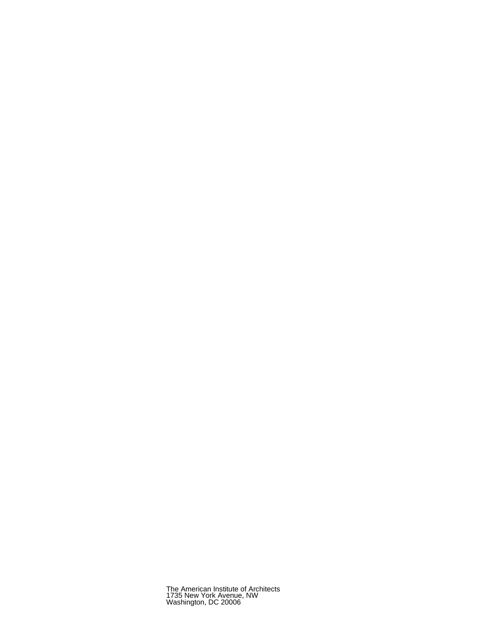The American Institute of Architects 1735 New York Avenue, NW Washington, DC 20006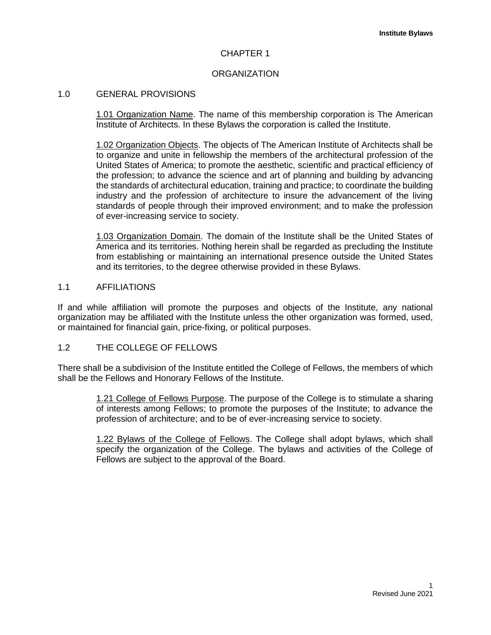# CHAPTER 1

# **ORGANIZATION**

# 1.0 GENERAL PROVISIONS

1.01 Organization Name. The name of this membership corporation is The American Institute of Architects. In these Bylaws the corporation is called the Institute.

1.02 Organization Objects. The objects of The American Institute of Architects shall be to organize and unite in fellowship the members of the architectural profession of the United States of America; to promote the aesthetic, scientific and practical efficiency of the profession; to advance the science and art of planning and building by advancing the standards of architectural education, training and practice; to coordinate the building industry and the profession of architecture to insure the advancement of the living standards of people through their improved environment; and to make the profession of ever-increasing service to society.

1.03 Organization Domain. The domain of the Institute shall be the United States of America and its territories. Nothing herein shall be regarded as precluding the Institute from establishing or maintaining an international presence outside the United States and its territories, to the degree otherwise provided in these Bylaws.

## 1.1 AFFILIATIONS

If and while affiliation will promote the purposes and objects of the Institute, any national organization may be affiliated with the Institute unless the other organization was formed, used, or maintained for financial gain, price-fixing, or political purposes.

## 1.2 THE COLLEGE OF FELLOWS

There shall be a subdivision of the Institute entitled the College of Fellows, the members of which shall be the Fellows and Honorary Fellows of the Institute.

> 1.21 College of Fellows Purpose. The purpose of the College is to stimulate a sharing of interests among Fellows; to promote the purposes of the Institute; to advance the profession of architecture; and to be of ever-increasing service to society.

> 1.22 Bylaws of the College of Fellows. The College shall adopt bylaws, which shall specify the organization of the College. The bylaws and activities of the College of Fellows are subject to the approval of the Board.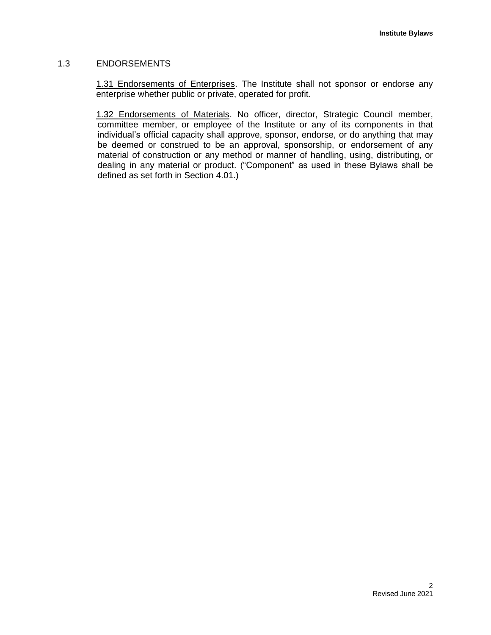# 1.3 ENDORSEMENTS

1.31 Endorsements of Enterprises. The Institute shall not sponsor or endorse any enterprise whether public or private, operated for profit.

1.32 Endorsements of Materials. No officer, director, Strategic Council member, committee member, or employee of the Institute or any of its components in that individual's official capacity shall approve, sponsor, endorse, or do anything that may be deemed or construed to be an approval, sponsorship, or endorsement of any material of construction or any method or manner of handling, using, distributing, or dealing in any material or product. ("Component" as used in these Bylaws shall be defined as set forth in Section 4.01.)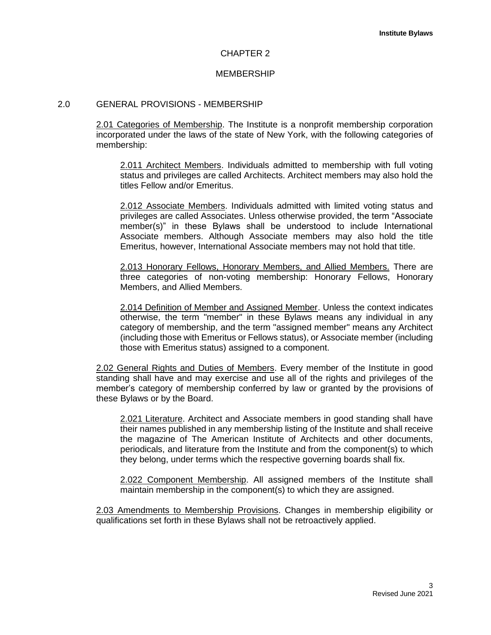#### CHAPTER 2

## MEMBERSHIP

## 2.0 GENERAL PROVISIONS - MEMBERSHIP

2.01 Categories of Membership. The Institute is a nonprofit membership corporation incorporated under the laws of the state of New York, with the following categories of membership:

2.011 Architect Members. Individuals admitted to membership with full voting status and privileges are called Architects. Architect members may also hold the titles Fellow and/or Emeritus.

2.012 Associate Members. Individuals admitted with limited voting status and privileges are called Associates. Unless otherwise provided, the term "Associate member(s)" in these Bylaws shall be understood to include International Associate members. Although Associate members may also hold the title Emeritus, however, International Associate members may not hold that title.

2.013 Honorary Fellows, Honorary Members, and Allied Members. There are three categories of non-voting membership: Honorary Fellows, Honorary Members, and Allied Members.

2.014 Definition of Member and Assigned Member. Unless the context indicates otherwise, the term "member" in these Bylaws means any individual in any category of membership, and the term "assigned member" means any Architect (including those with Emeritus or Fellows status), or Associate member (including those with Emeritus status) assigned to a component.

2.02 General Rights and Duties of Members. Every member of the Institute in good standing shall have and may exercise and use all of the rights and privileges of the member's category of membership conferred by law or granted by the provisions of these Bylaws or by the Board.

2.021 Literature. Architect and Associate members in good standing shall have their names published in any membership listing of the Institute and shall receive the magazine of The American Institute of Architects and other documents, periodicals, and literature from the Institute and from the component(s) to which they belong, under terms which the respective governing boards shall fix.

2.022 Component Membership. All assigned members of the Institute shall maintain membership in the component(s) to which they are assigned.

2.03 Amendments to Membership Provisions. Changes in membership eligibility or qualifications set forth in these Bylaws shall not be retroactively applied.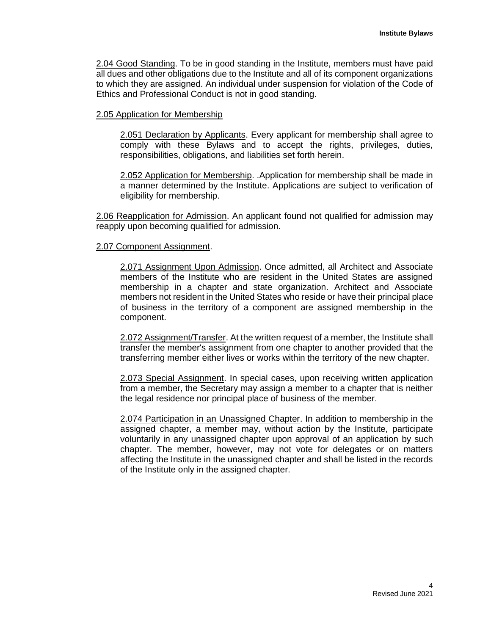2.04 Good Standing. To be in good standing in the Institute, members must have paid all dues and other obligations due to the Institute and all of its component organizations to which they are assigned. An individual under suspension for violation of the Code of Ethics and Professional Conduct is not in good standing.

## 2.05 Application for Membership

2.051 Declaration by Applicants. Every applicant for membership shall agree to comply with these Bylaws and to accept the rights, privileges, duties, responsibilities, obligations, and liabilities set forth herein.

2.052 Application for Membership. .Application for membership shall be made in a manner determined by the Institute. Applications are subject to verification of eligibility for membership.

2.06 Reapplication for Admission. An applicant found not qualified for admission may reapply upon becoming qualified for admission.

#### 2.07 Component Assignment.

2.071 Assignment Upon Admission. Once admitted, all Architect and Associate members of the Institute who are resident in the United States are assigned membership in a chapter and state organization. Architect and Associate members not resident in the United States who reside or have their principal place of business in the territory of a component are assigned membership in the component.

2.072 Assignment/Transfer. At the written request of a member, the Institute shall transfer the member's assignment from one chapter to another provided that the transferring member either lives or works within the territory of the new chapter.

2.073 Special Assignment. In special cases, upon receiving written application from a member, the Secretary may assign a member to a chapter that is neither the legal residence nor principal place of business of the member.

2.074 Participation in an Unassigned Chapter. In addition to membership in the assigned chapter, a member may, without action by the Institute, participate voluntarily in any unassigned chapter upon approval of an application by such chapter. The member, however, may not vote for delegates or on matters affecting the Institute in the unassigned chapter and shall be listed in the records of the Institute only in the assigned chapter.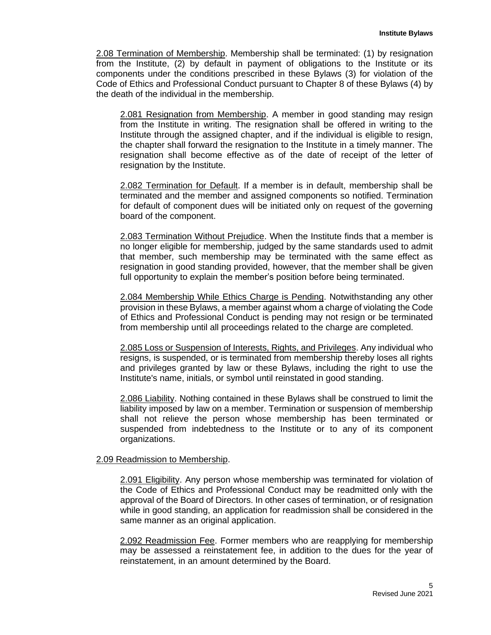2.08 Termination of Membership. Membership shall be terminated: (1) by resignation from the Institute, (2) by default in payment of obligations to the Institute or its components under the conditions prescribed in these Bylaws (3) for violation of the Code of Ethics and Professional Conduct pursuant to Chapter 8 of these Bylaws (4) by the death of the individual in the membership.

2.081 Resignation from Membership. A member in good standing may resign from the Institute in writing. The resignation shall be offered in writing to the Institute through the assigned chapter, and if the individual is eligible to resign, the chapter shall forward the resignation to the Institute in a timely manner. The resignation shall become effective as of the date of receipt of the letter of resignation by the Institute.

2.082 Termination for Default. If a member is in default, membership shall be terminated and the member and assigned components so notified. Termination for default of component dues will be initiated only on request of the governing board of the component.

2.083 Termination Without Prejudice. When the Institute finds that a member is no longer eligible for membership, judged by the same standards used to admit that member, such membership may be terminated with the same effect as resignation in good standing provided, however, that the member shall be given full opportunity to explain the member's position before being terminated.

2.084 Membership While Ethics Charge is Pending. Notwithstanding any other provision in these Bylaws, a member against whom a charge of violating the Code of Ethics and Professional Conduct is pending may not resign or be terminated from membership until all proceedings related to the charge are completed.

2.085 Loss or Suspension of Interests, Rights, and Privileges. Any individual who resigns, is suspended, or is terminated from membership thereby loses all rights and privileges granted by law or these Bylaws, including the right to use the Institute's name, initials, or symbol until reinstated in good standing.

2.086 Liability. Nothing contained in these Bylaws shall be construed to limit the liability imposed by law on a member. Termination or suspension of membership shall not relieve the person whose membership has been terminated or suspended from indebtedness to the Institute or to any of its component organizations.

## 2.09 Readmission to Membership.

2.091 Eligibility. Any person whose membership was terminated for violation of the Code of Ethics and Professional Conduct may be readmitted only with the approval of the Board of Directors. In other cases of termination, or of resignation while in good standing, an application for readmission shall be considered in the same manner as an original application.

2.092 Readmission Fee. Former members who are reapplying for membership may be assessed a reinstatement fee, in addition to the dues for the year of reinstatement, in an amount determined by the Board.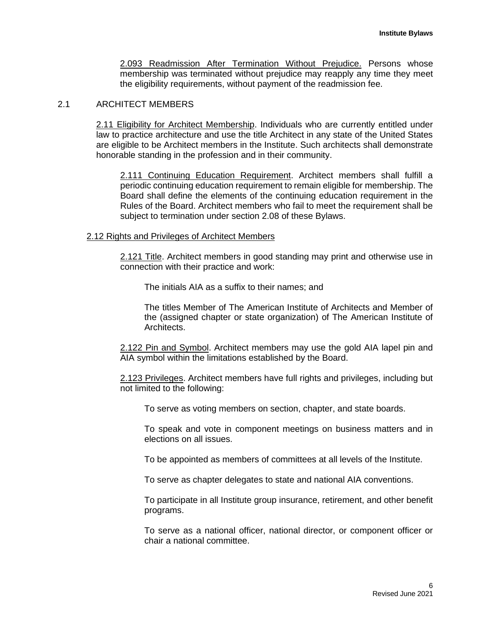2.093 Readmission After Termination Without Prejudice. Persons whose membership was terminated without prejudice may reapply any time they meet the eligibility requirements, without payment of the readmission fee.

#### 2.1 ARCHITECT MEMBERS

2.11 Eligibility for Architect Membership. Individuals who are currently entitled under law to practice architecture and use the title Architect in any state of the United States are eligible to be Architect members in the Institute. Such architects shall demonstrate honorable standing in the profession and in their community.

2.111 Continuing Education Requirement. Architect members shall fulfill a periodic continuing education requirement to remain eligible for membership. The Board shall define the elements of the continuing education requirement in the Rules of the Board. Architect members who fail to meet the requirement shall be subject to termination under section 2.08 of these Bylaws.

#### 2.12 Rights and Privileges of Architect Members

2.121 Title. Architect members in good standing may print and otherwise use in connection with their practice and work:

The initials AIA as a suffix to their names; and

The titles Member of The American Institute of Architects and Member of the (assigned chapter or state organization) of The American Institute of Architects.

2.122 Pin and Symbol. Architect members may use the gold AIA lapel pin and AIA symbol within the limitations established by the Board.

2.123 Privileges. Architect members have full rights and privileges, including but not limited to the following:

To serve as voting members on section, chapter, and state boards.

To speak and vote in component meetings on business matters and in elections on all issues.

To be appointed as members of committees at all levels of the Institute.

To serve as chapter delegates to state and national AIA conventions.

To participate in all Institute group insurance, retirement, and other benefit programs.

To serve as a national officer, national director, or component officer or chair a national committee.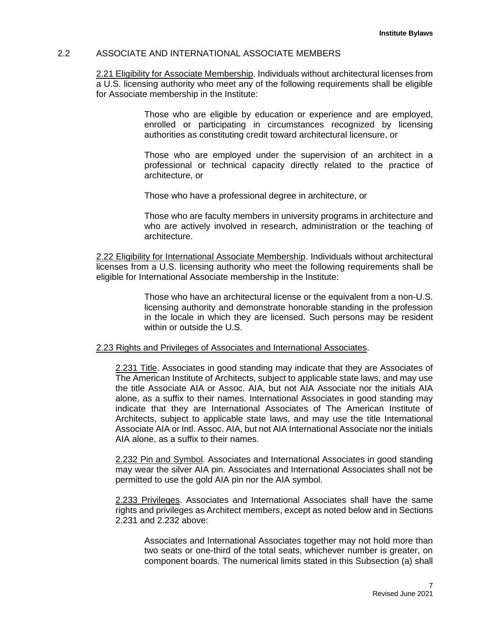## 2.2 ASSOCIATE AND INTERNATIONAL ASSOCIATE MEMBERS

2.21 Eligibility for Associate Membership. Individuals without architectural licenses from a U.S. licensing authority who meet any of the following requirements shall be eligible for Associate membership in the Institute:

> Those who are eligible by education or experience and are employed, enrolled or participating in circumstances recognized by licensing authorities as constituting credit toward architectural licensure, or

> Those who are employed under the supervision of an architect in a professional or technical capacity directly related to the practice of architecture, or

Those who have a professional degree in architecture, or

Those who are faculty members in university programs in architecture and who are actively involved in research, administration or the teaching of architecture.

2.22 Eligibility for International Associate Membership. Individuals without architectural licenses from a U.S. licensing authority who meet the following requirements shall be eligible for International Associate membership in the Institute:

> Those who have an architectural license or the equivalent from a non-U.S. licensing authority and demonstrate honorable standing in the profession in the locale in which they are licensed. Such persons may be resident within or outside the U.S.

## 2.23 Rights and Privileges of Associates and International Associates.

2.231 Title. Associates in good standing may indicate that they are Associates of The American Institute of Architects, subject to applicable state laws, and may use the title Associate AIA or Assoc. AIA, but not AIA Associate nor the initials AIA alone, as a suffix to their names. International Associates in good standing may indicate that they are International Associates of The American Institute of Architects, subject to applicable state laws, and may use the title International Associate AIA or Intl. Assoc. AIA, but not AIA International Associate nor the initials AIA alone, as a suffix to their names.

2.232 Pin and Symbol. Associates and International Associates in good standing may wear the silver AIA pin. Associates and International Associates shall not be permitted to use the gold AIA pin nor the AIA symbol.

2.233 Privileges. Associates and International Associates shall have the same rights and privileges as Architect members, except as noted below and in Sections 2.231 and 2.232 above:

Associates and International Associates together may not hold more than two seats or one-third of the total seats, whichever number is greater, on component boards. The numerical limits stated in this Subsection (a) shall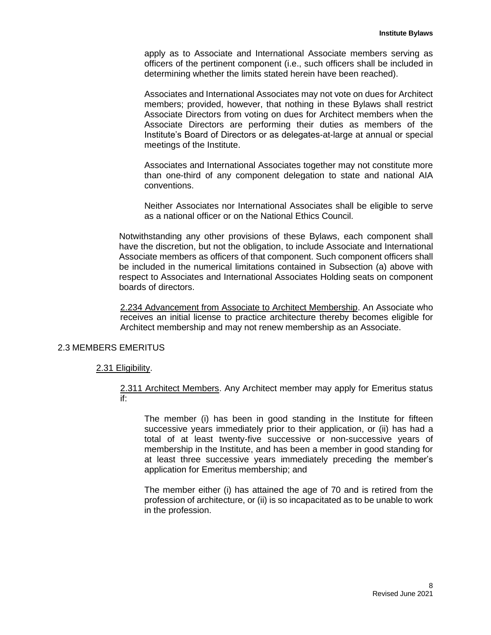apply as to Associate and International Associate members serving as officers of the pertinent component (i.e., such officers shall be included in determining whether the limits stated herein have been reached).

Associates and International Associates may not vote on dues for Architect members; provided, however, that nothing in these Bylaws shall restrict Associate Directors from voting on dues for Architect members when the Associate Directors are performing their duties as members of the Institute's Board of Directors or as delegates-at-large at annual or special meetings of the Institute.

Associates and International Associates together may not constitute more than one-third of any component delegation to state and national AIA conventions.

Neither Associates nor International Associates shall be eligible to serve as a national officer or on the National Ethics Council.

Notwithstanding any other provisions of these Bylaws, each component shall have the discretion, but not the obligation, to include Associate and International Associate members as officers of that component. Such component officers shall be included in the numerical limitations contained in Subsection (a) above with respect to Associates and International Associates Holding seats on component boards of directors.

2.234 Advancement from Associate to Architect Membership. An Associate who receives an initial license to practice architecture thereby becomes eligible for Architect membership and may not renew membership as an Associate.

#### 2.3 MEMBERS EMERITUS

## 2.31 Eligibility.

2.311 Architect Members. Any Architect member may apply for Emeritus status if:

The member (i) has been in good standing in the Institute for fifteen successive years immediately prior to their application, or (ii) has had a total of at least twenty-five successive or non-successive years of membership in the Institute, and has been a member in good standing for at least three successive years immediately preceding the member's application for Emeritus membership; and

The member either (i) has attained the age of 70 and is retired from the profession of architecture, or (ii) is so incapacitated as to be unable to work in the profession.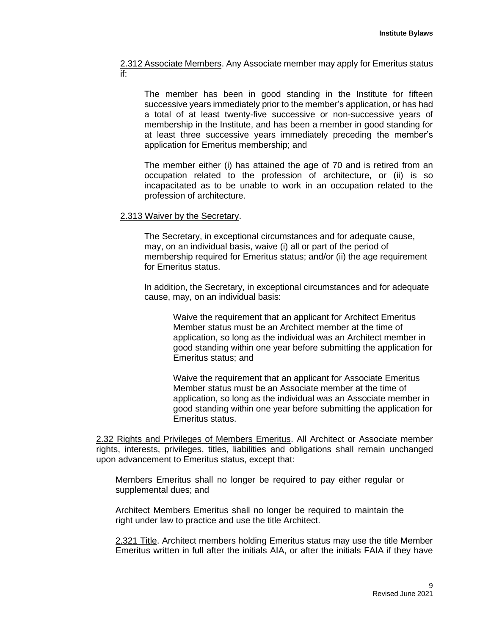2.312 Associate Members. Any Associate member may apply for Emeritus status if:

The member has been in good standing in the Institute for fifteen successive years immediately prior to the member's application, or has had a total of at least twenty-five successive or non-successive years of membership in the Institute, and has been a member in good standing for at least three successive years immediately preceding the member's application for Emeritus membership; and

The member either (i) has attained the age of 70 and is retired from an occupation related to the profession of architecture, or (ii) is so incapacitated as to be unable to work in an occupation related to the profession of architecture.

## 2.313 Waiver by the Secretary.

The Secretary, in exceptional circumstances and for adequate cause, may, on an individual basis, waive (i) all or part of the period of membership required for Emeritus status; and/or (ii) the age requirement for Emeritus status.

In addition, the Secretary, in exceptional circumstances and for adequate cause, may, on an individual basis:

Waive the requirement that an applicant for Architect Emeritus Member status must be an Architect member at the time of application, so long as the individual was an Architect member in good standing within one year before submitting the application for Emeritus status; and

Waive the requirement that an applicant for Associate Emeritus Member status must be an Associate member at the time of application, so long as the individual was an Associate member in good standing within one year before submitting the application for Emeritus status.

2.32 Rights and Privileges of Members Emeritus. All Architect or Associate member rights, interests, privileges, titles, liabilities and obligations shall remain unchanged upon advancement to Emeritus status, except that:

Members Emeritus shall no longer be required to pay either regular or supplemental dues; and

Architect Members Emeritus shall no longer be required to maintain the right under law to practice and use the title Architect.

2.321 Title. Architect members holding Emeritus status may use the title Member Emeritus written in full after the initials AIA, or after the initials FAIA if they have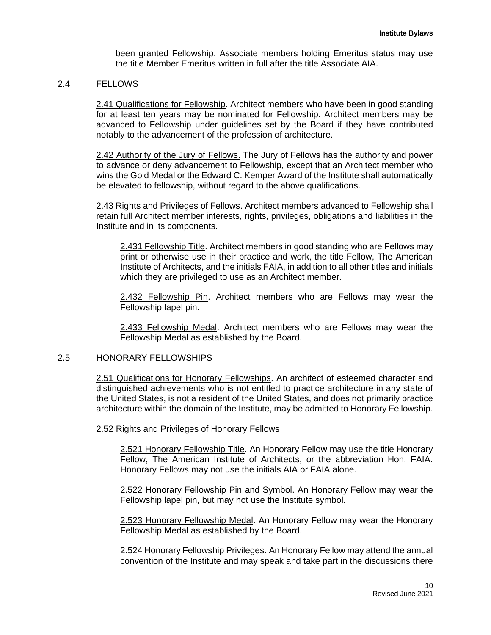been granted Fellowship. Associate members holding Emeritus status may use the title Member Emeritus written in full after the title Associate AIA.

## 2.4 FELLOWS

2.41 Qualifications for Fellowship. Architect members who have been in good standing for at least ten years may be nominated for Fellowship. Architect members may be advanced to Fellowship under guidelines set by the Board if they have contributed notably to the advancement of the profession of architecture.

2.42 Authority of the Jury of Fellows. The Jury of Fellows has the authority and power to advance or deny advancement to Fellowship, except that an Architect member who wins the Gold Medal or the Edward C. Kemper Award of the Institute shall automatically be elevated to fellowship, without regard to the above qualifications.

2.43 Rights and Privileges of Fellows. Architect members advanced to Fellowship shall retain full Architect member interests, rights, privileges, obligations and liabilities in the Institute and in its components.

2.431 Fellowship Title. Architect members in good standing who are Fellows may print or otherwise use in their practice and work, the title Fellow, The American Institute of Architects, and the initials FAIA, in addition to all other titles and initials which they are privileged to use as an Architect member.

2.432 Fellowship Pin. Architect members who are Fellows may wear the Fellowship lapel pin.

2.433 Fellowship Medal. Architect members who are Fellows may wear the Fellowship Medal as established by the Board.

#### 2.5 HONORARY FELLOWSHIPS

2.51 Qualifications for Honorary Fellowships. An architect of esteemed character and distinguished achievements who is not entitled to practice architecture in any state of the United States, is not a resident of the United States, and does not primarily practice architecture within the domain of the Institute, may be admitted to Honorary Fellowship.

2.52 Rights and Privileges of Honorary Fellows

2.521 Honorary Fellowship Title. An Honorary Fellow may use the title Honorary Fellow, The American Institute of Architects, or the abbreviation Hon. FAIA. Honorary Fellows may not use the initials AIA or FAIA alone.

2.522 Honorary Fellowship Pin and Symbol. An Honorary Fellow may wear the Fellowship lapel pin, but may not use the Institute symbol.

2.523 Honorary Fellowship Medal. An Honorary Fellow may wear the Honorary Fellowship Medal as established by the Board.

2.524 Honorary Fellowship Privileges. An Honorary Fellow may attend the annual convention of the Institute and may speak and take part in the discussions there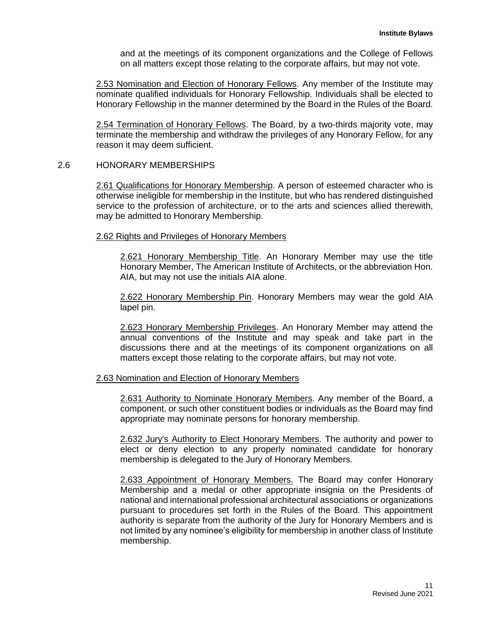and at the meetings of its component organizations and the College of Fellows on all matters except those relating to the corporate affairs, but may not vote.

2.53 Nomination and Election of Honorary Fellows. Any member of the Institute may nominate qualified individuals for Honorary Fellowship. Individuals shall be elected to Honorary Fellowship in the manner determined by the Board in the Rules of the Board.

2.54 Termination of Honorary Fellows. The Board, by a two-thirds majority vote, may terminate the membership and withdraw the privileges of any Honorary Fellow, for any reason it may deem sufficient.

## 2.6 HONORARY MEMBERSHIPS

2.61 Qualifications for Honorary Membership. A person of esteemed character who is otherwise ineligible for membership in the Institute, but who has rendered distinguished service to the profession of architecture, or to the arts and sciences allied therewith, may be admitted to Honorary Membership.

#### 2.62 Rights and Privileges of Honorary Members

2.621 Honorary Membership Title. An Honorary Member may use the title Honorary Member, The American Institute of Architects, or the abbreviation Hon. AIA, but may not use the initials AIA alone.

2.622 Honorary Membership Pin. Honorary Members may wear the gold AIA lapel pin.

2.623 Honorary Membership Privileges. An Honorary Member may attend the annual conventions of the Institute and may speak and take part in the discussions there and at the meetings of its component organizations on all matters except those relating to the corporate affairs, but may not vote.

#### 2.63 Nomination and Election of Honorary Members

2.631 Authority to Nominate Honorary Members. Any member of the Board, a component, or such other constituent bodies or individuals as the Board may find appropriate may nominate persons for honorary membership.

2.632 Jury's Authority to Elect Honorary Members. The authority and power to elect or deny election to any properly nominated candidate for honorary membership is delegated to the Jury of Honorary Members.

2.633 Appointment of Honorary Members. The Board may confer Honorary Membership and a medal or other appropriate insignia on the Presidents of national and international professional architectural associations or organizations pursuant to procedures set forth in the Rules of the Board. This appointment authority is separate from the authority of the Jury for Honorary Members and is not limited by any nominee's eligibility for membership in another class of Institute membership.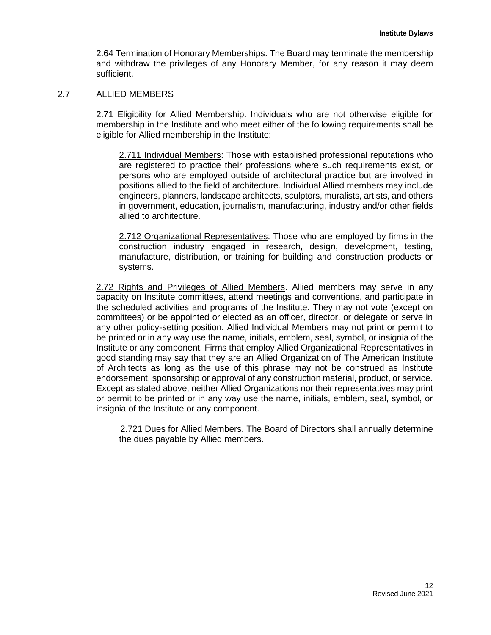2.64 Termination of Honorary Memberships. The Board may terminate the membership and withdraw the privileges of any Honorary Member, for any reason it may deem sufficient.

## 2.7 ALLIED MEMBERS

2.71 Eligibility for Allied Membership. Individuals who are not otherwise eligible for membership in the Institute and who meet either of the following requirements shall be eligible for Allied membership in the Institute:

2.711 Individual Members: Those with established professional reputations who are registered to practice their professions where such requirements exist, or persons who are employed outside of architectural practice but are involved in positions allied to the field of architecture. Individual Allied members may include engineers, planners, landscape architects, sculptors, muralists, artists, and others in government, education, journalism, manufacturing, industry and/or other fields allied to architecture.

2.712 Organizational Representatives: Those who are employed by firms in the construction industry engaged in research, design, development, testing, manufacture, distribution, or training for building and construction products or systems.

2.72 Rights and Privileges of Allied Members. Allied members may serve in any capacity on Institute committees, attend meetings and conventions, and participate in the scheduled activities and programs of the Institute. They may not vote (except on committees) or be appointed or elected as an officer, director, or delegate or serve in any other policy-setting position. Allied Individual Members may not print or permit to be printed or in any way use the name, initials, emblem, seal, symbol, or insignia of the Institute or any component. Firms that employ Allied Organizational Representatives in good standing may say that they are an Allied Organization of The American Institute of Architects as long as the use of this phrase may not be construed as Institute endorsement, sponsorship or approval of any construction material, product, or service. Except as stated above, neither Allied Organizations nor their representatives may print or permit to be printed or in any way use the name, initials, emblem, seal, symbol, or insignia of the Institute or any component.

2.721 Dues for Allied Members. The Board of Directors shall annually determine the dues payable by Allied members.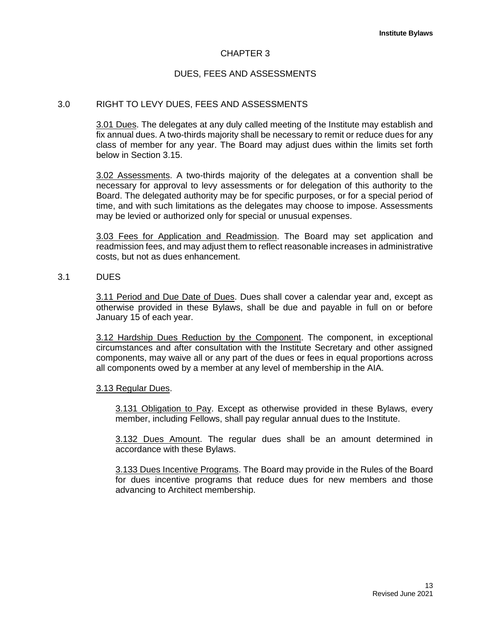## CHAPTER 3

## DUES, FEES AND ASSESSMENTS

#### 3.0 RIGHT TO LEVY DUES, FEES AND ASSESSMENTS

3.01 Dues. The delegates at any duly called meeting of the Institute may establish and fix annual dues. A two-thirds majority shall be necessary to remit or reduce dues for any class of member for any year. The Board may adjust dues within the limits set forth below in Section 3.15.

3.02 Assessments. A two-thirds majority of the delegates at a convention shall be necessary for approval to levy assessments or for delegation of this authority to the Board. The delegated authority may be for specific purposes, or for a special period of time, and with such limitations as the delegates may choose to impose. Assessments may be levied or authorized only for special or unusual expenses.

3.03 Fees for Application and Readmission. The Board may set application and readmission fees, and may adjust them to reflect reasonable increases in administrative costs, but not as dues enhancement.

#### 3.1 DUES

3.11 Period and Due Date of Dues. Dues shall cover a calendar year and, except as otherwise provided in these Bylaws, shall be due and payable in full on or before January 15 of each year.

3.12 Hardship Dues Reduction by the Component. The component, in exceptional circumstances and after consultation with the Institute Secretary and other assigned components, may waive all or any part of the dues or fees in equal proportions across all components owed by a member at any level of membership in the AIA.

#### 3.13 Regular Dues.

3.131 Obligation to Pay. Except as otherwise provided in these Bylaws, every member, including Fellows, shall pay regular annual dues to the Institute.

3.132 Dues Amount. The regular dues shall be an amount determined in accordance with these Bylaws.

3.133 Dues Incentive Programs. The Board may provide in the Rules of the Board for dues incentive programs that reduce dues for new members and those advancing to Architect membership.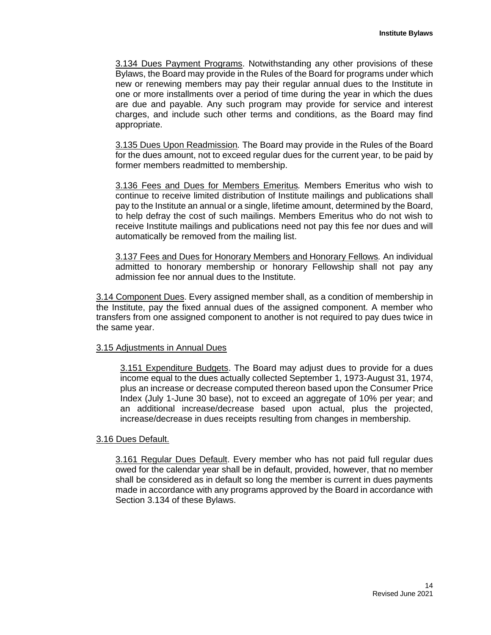3.134 Dues Payment Programs. Notwithstanding any other provisions of these Bylaws, the Board may provide in the Rules of the Board for programs under which new or renewing members may pay their regular annual dues to the Institute in one or more installments over a period of time during the year in which the dues are due and payable. Any such program may provide for service and interest charges, and include such other terms and conditions, as the Board may find appropriate.

3.135 Dues Upon Readmission*.* The Board may provide in the Rules of the Board for the dues amount, not to exceed regular dues for the current year, to be paid by former members readmitted to membership.

3.136 Fees and Dues for Members Emeritus*.* Members Emeritus who wish to continue to receive limited distribution of Institute mailings and publications shall pay to the Institute an annual or a single, lifetime amount, determined by the Board, to help defray the cost of such mailings. Members Emeritus who do not wish to receive Institute mailings and publications need not pay this fee nor dues and will automatically be removed from the mailing list.

3.137 Fees and Dues for Honorary Members and Honorary Fellows*.* An individual admitted to honorary membership or honorary Fellowship shall not pay any admission fee nor annual dues to the Institute.

3.14 Component Dues. Every assigned member shall, as a condition of membership in the Institute, pay the fixed annual dues of the assigned component. A member who transfers from one assigned component to another is not required to pay dues twice in the same year.

#### 3.15 Adjustments in Annual Dues

3.151 Expenditure Budgets. The Board may adjust dues to provide for a dues income equal to the dues actually collected September 1, 1973-August 31, 1974, plus an increase or decrease computed thereon based upon the Consumer Price Index (July 1-June 30 base), not to exceed an aggregate of 10% per year; and an additional increase/decrease based upon actual, plus the projected, increase/decrease in dues receipts resulting from changes in membership.

# 3.16 Dues Default.

3.161 Regular Dues Default. Every member who has not paid full regular dues owed for the calendar year shall be in default, provided, however, that no member shall be considered as in default so long the member is current in dues payments made in accordance with any programs approved by the Board in accordance with Section 3.134 of these Bylaws.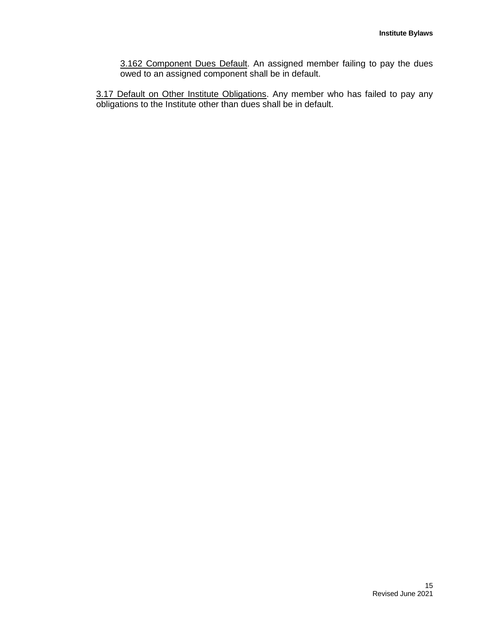3.162 Component Dues Default. An assigned member failing to pay the dues owed to an assigned component shall be in default.

3.17 Default on Other Institute Obligations. Any member who has failed to pay any obligations to the Institute other than dues shall be in default.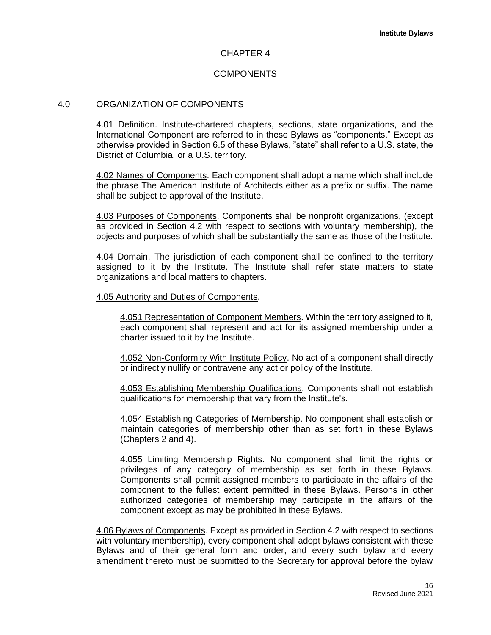## CHAPTER 4

# COMPONENTS

#### 4.0 ORGANIZATION OF COMPONENTS

4.01 Definition. Institute-chartered chapters, sections, state organizations, and the International Component are referred to in these Bylaws as "components." Except as otherwise provided in Section 6.5 of these Bylaws, "state" shall refer to a U.S. state, the District of Columbia, or a U.S. territory.

4.02 Names of Components. Each component shall adopt a name which shall include the phrase The American Institute of Architects either as a prefix or suffix. The name shall be subject to approval of the Institute.

4.03 Purposes of Components. Components shall be nonprofit organizations, (except as provided in Section 4.2 with respect to sections with voluntary membership), the objects and purposes of which shall be substantially the same as those of the Institute.

4.04 Domain. The jurisdiction of each component shall be confined to the territory assigned to it by the Institute. The Institute shall refer state matters to state organizations and local matters to chapters.

#### 4.05 Authority and Duties of Components.

4.051 Representation of Component Members. Within the territory assigned to it, each component shall represent and act for its assigned membership under a charter issued to it by the Institute.

4.052 Non-Conformity With Institute Policy. No act of a component shall directly or indirectly nullify or contravene any act or policy of the Institute.

4.053 Establishing Membership Qualifications. Components shall not establish qualifications for membership that vary from the Institute's.

4.054 Establishing Categories of Membership. No component shall establish or maintain categories of membership other than as set forth in these Bylaws (Chapters 2 and 4).

4.055 Limiting Membership Rights. No component shall limit the rights or privileges of any category of membership as set forth in these Bylaws. Components shall permit assigned members to participate in the affairs of the component to the fullest extent permitted in these Bylaws. Persons in other authorized categories of membership may participate in the affairs of the component except as may be prohibited in these Bylaws.

4.06 Bylaws of Components. Except as provided in Section 4.2 with respect to sections with voluntary membership), every component shall adopt bylaws consistent with these Bylaws and of their general form and order, and every such bylaw and every amendment thereto must be submitted to the Secretary for approval before the bylaw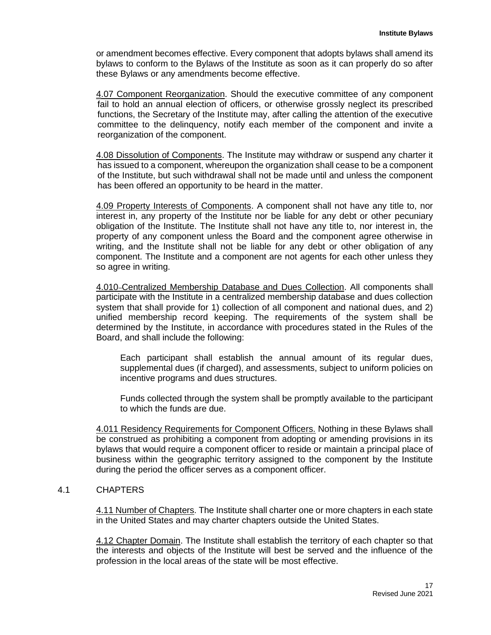or amendment becomes effective. Every component that adopts bylaws shall amend its bylaws to conform to the Bylaws of the Institute as soon as it can properly do so after these Bylaws or any amendments become effective.

4.07 Component Reorganization. Should the executive committee of any component fail to hold an annual election of officers, or otherwise grossly neglect its prescribed functions, the Secretary of the Institute may, after calling the attention of the executive committee to the delinquency, notify each member of the component and invite a reorganization of the component.

4.08 Dissolution of Components. The Institute may withdraw or suspend any charter it has issued to a component, whereupon the organization shall cease to be a component of the Institute, but such withdrawal shall not be made until and unless the component has been offered an opportunity to be heard in the matter.

4.09 Property Interests of Components. A component shall not have any title to, nor interest in, any property of the Institute nor be liable for any debt or other pecuniary obligation of the Institute. The Institute shall not have any title to, nor interest in, the property of any component unless the Board and the component agree otherwise in writing, and the Institute shall not be liable for any debt or other obligation of any component. The Institute and a component are not agents for each other unless they so agree in writing.

4.010 Centralized Membership Database and Dues Collection. All components shall participate with the Institute in a centralized membership database and dues collection system that shall provide for 1) collection of all component and national dues, and 2) unified membership record keeping. The requirements of the system shall be determined by the Institute, in accordance with procedures stated in the Rules of the Board, and shall include the following:

Each participant shall establish the annual amount of its regular dues, supplemental dues (if charged), and assessments, subject to uniform policies on incentive programs and dues structures.

Funds collected through the system shall be promptly available to the participant to which the funds are due.

4.011 Residency Requirements for Component Officers. Nothing in these Bylaws shall be construed as prohibiting a component from adopting or amending provisions in its bylaws that would require a component officer to reside or maintain a principal place of business within the geographic territory assigned to the component by the Institute during the period the officer serves as a component officer.

# 4.1 CHAPTERS

4.11 Number of Chapters. The Institute shall charter one or more chapters in each state in the United States and may charter chapters outside the United States.

4.12 Chapter Domain. The Institute shall establish the territory of each chapter so that the interests and objects of the Institute will best be served and the influence of the profession in the local areas of the state will be most effective.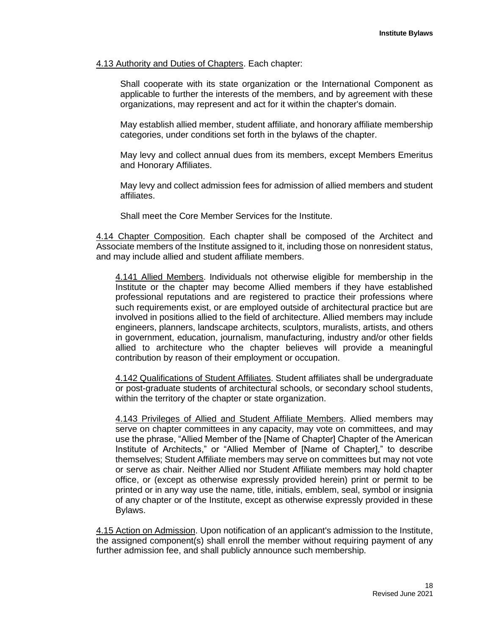#### 4.13 Authority and Duties of Chapters. Each chapter:

Shall cooperate with its state organization or the International Component as applicable to further the interests of the members, and by agreement with these organizations, may represent and act for it within the chapter's domain.

May establish allied member, student affiliate, and honorary affiliate membership categories, under conditions set forth in the bylaws of the chapter.

May levy and collect annual dues from its members, except Members Emeritus and Honorary Affiliates.

May levy and collect admission fees for admission of allied members and student affiliates.

Shall meet the Core Member Services for the Institute.

4.14 Chapter Composition. Each chapter shall be composed of the Architect and Associate members of the Institute assigned to it, including those on nonresident status, and may include allied and student affiliate members.

4.141 Allied Members. Individuals not otherwise eligible for membership in the Institute or the chapter may become Allied members if they have established professional reputations and are registered to practice their professions where such requirements exist, or are employed outside of architectural practice but are involved in positions allied to the field of architecture. Allied members may include engineers, planners, landscape architects, sculptors, muralists, artists, and others in government, education, journalism, manufacturing, industry and/or other fields allied to architecture who the chapter believes will provide a meaningful contribution by reason of their employment or occupation.

4.142 Qualifications of Student Affiliates. Student affiliates shall be undergraduate or post-graduate students of architectural schools, or secondary school students, within the territory of the chapter or state organization.

4.143 Privileges of Allied and Student Affiliate Members. Allied members may serve on chapter committees in any capacity, may vote on committees, and may use the phrase, "Allied Member of the [Name of Chapter] Chapter of the American Institute of Architects," or "Allied Member of [Name of Chapter]," to describe themselves; Student Affiliate members may serve on committees but may not vote or serve as chair. Neither Allied nor Student Affiliate members may hold chapter office, or (except as otherwise expressly provided herein) print or permit to be printed or in any way use the name, title, initials, emblem, seal, symbol or insignia of any chapter or of the Institute, except as otherwise expressly provided in these Bylaws.

4.15 Action on Admission. Upon notification of an applicant's admission to the Institute, the assigned component(s) shall enroll the member without requiring payment of any further admission fee, and shall publicly announce such membership.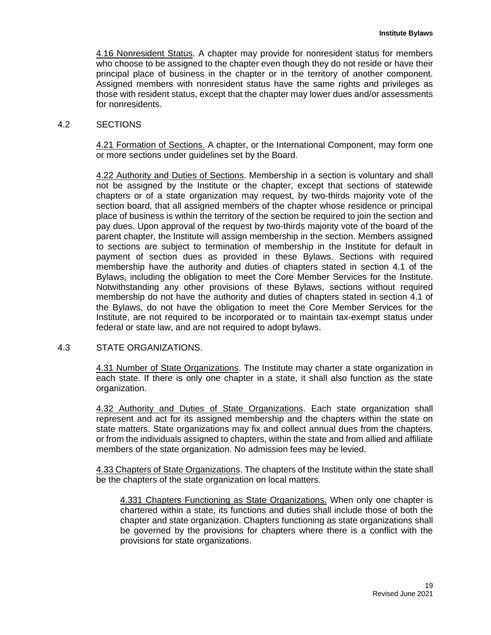4.16 Nonresident Status. A chapter may provide for nonresident status for members who choose to be assigned to the chapter even though they do not reside or have their principal place of business in the chapter or in the territory of another component. Assigned members with nonresident status have the same rights and privileges as those with resident status, except that the chapter may lower dues and/or assessments for nonresidents.

## 4.2 SECTIONS

4.21 Formation of Sections. A chapter, or the International Component, may form one or more sections under guidelines set by the Board.

4.22 Authority and Duties of Sections. Membership in a section is voluntary and shall not be assigned by the Institute or the chapter, except that sections of statewide chapters or of a state organization may request, by two-thirds majority vote of the section board, that all assigned members of the chapter whose residence or principal place of business is within the territory of the section be required to join the section and pay dues. Upon approval of the request by two-thirds majority vote of the board of the parent chapter, the Institute will assign membership in the section. Members assigned to sections are subject to termination of membership in the Institute for default in payment of section dues as provided in these Bylaws. Sections with required membership have the authority and duties of chapters stated in section 4.1 of the Bylaws, including the obligation to meet the Core Member Services for the Institute. Notwithstanding any other provisions of these Bylaws, sections without required membership do not have the authority and duties of chapters stated in section 4.1 of the Bylaws, do not have the obligation to meet the Core Member Services for the Institute, are not required to be incorporated or to maintain tax-exempt status under federal or state law, and are not required to adopt bylaws.

## 4.3 STATE ORGANIZATIONS.

4.31 Number of State Organizations. The Institute may charter a state organization in each state. If there is only one chapter in a state, it shall also function as the state organization.

4.32 Authority and Duties of State Organizations. Each state organization shall represent and act for its assigned membership and the chapters within the state on state matters. State organizations may fix and collect annual dues from the chapters, or from the individuals assigned to chapters, within the state and from allied and affiliate members of the state organization. No admission fees may be levied.

4.33 Chapters of State Organizations. The chapters of the Institute within the state shall be the chapters of the state organization on local matters.

4.331 Chapters Functioning as State Organizations. When only one chapter is chartered within a state, its functions and duties shall include those of both the chapter and state organization. Chapters functioning as state organizations shall be governed by the provisions for chapters where there is a conflict with the provisions for state organizations.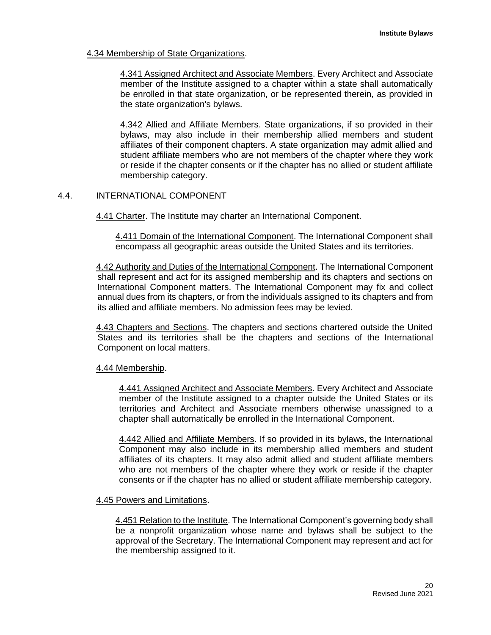# 4.34 Membership of State Organizations.

4.341 Assigned Architect and Associate Members. Every Architect and Associate member of the Institute assigned to a chapter within a state shall automatically be enrolled in that state organization, or be represented therein, as provided in the state organization's bylaws.

4.342 Allied and Affiliate Members. State organizations, if so provided in their bylaws, may also include in their membership allied members and student affiliates of their component chapters. A state organization may admit allied and student affiliate members who are not members of the chapter where they work or reside if the chapter consents or if the chapter has no allied or student affiliate membership category.

# 4.4. INTERNATIONAL COMPONENT

4.41 Charter. The Institute may charter an International Component.

4.411 Domain of the International Component. The International Component shall encompass all geographic areas outside the United States and its territories.

4.42 Authority and Duties of the International Component. The International Component shall represent and act for its assigned membership and its chapters and sections on International Component matters. The International Component may fix and collect annual dues from its chapters, or from the individuals assigned to its chapters and from its allied and affiliate members. No admission fees may be levied.

4.43 Chapters and Sections. The chapters and sections chartered outside the United States and its territories shall be the chapters and sections of the International Component on local matters.

## 4.44 Membership.

4.441 Assigned Architect and Associate Members. Every Architect and Associate member of the Institute assigned to a chapter outside the United States or its territories and Architect and Associate members otherwise unassigned to a chapter shall automatically be enrolled in the International Component.

4.442 Allied and Affiliate Members. If so provided in its bylaws, the International Component may also include in its membership allied members and student affiliates of its chapters. It may also admit allied and student affiliate members who are not members of the chapter where they work or reside if the chapter consents or if the chapter has no allied or student affiliate membership category.

## 4.45 Powers and Limitations.

4.451 Relation to the Institute. The International Component's governing body shall be a nonprofit organization whose name and bylaws shall be subject to the approval of the Secretary. The International Component may represent and act for the membership assigned to it.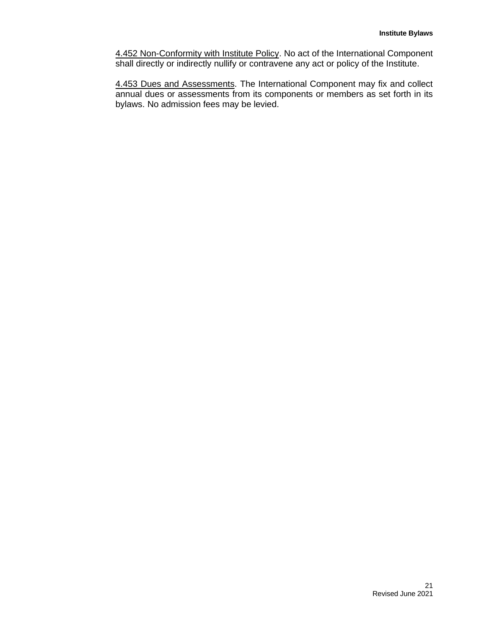4.452 Non-Conformity with Institute Policy. No act of the International Component shall directly or indirectly nullify or contravene any act or policy of the Institute.

4.453 Dues and Assessments. The International Component may fix and collect annual dues or assessments from its components or members as set forth in its bylaws. No admission fees may be levied.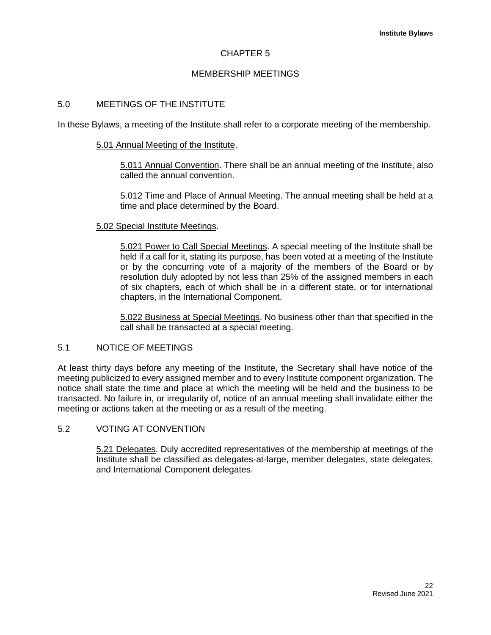# CHAPTER 5

## MEMBERSHIP MEETINGS

#### 5.0 MEETINGS OF THE INSTITUTE

In these Bylaws, a meeting of the Institute shall refer to a corporate meeting of the membership.

#### 5.01 Annual Meeting of the Institute.

5.011 Annual Convention. There shall be an annual meeting of the Institute, also called the annual convention.

5.012 Time and Place of Annual Meeting. The annual meeting shall be held at a time and place determined by the Board.

#### 5.02 Special Institute Meetings.

5.021 Power to Call Special Meetings. A special meeting of the Institute shall be held if a call for it, stating its purpose, has been voted at a meeting of the Institute or by the concurring vote of a majority of the members of the Board or by resolution duly adopted by not less than 25% of the assigned members in each of six chapters, each of which shall be in a different state, or for international chapters, in the International Component.

5.022 Business at Special Meetings. No business other than that specified in the call shall be transacted at a special meeting.

# 5.1 NOTICE OF MEETINGS

At least thirty days before any meeting of the Institute, the Secretary shall have notice of the meeting publicized to every assigned member and to every Institute component organization. The notice shall state the time and place at which the meeting will be held and the business to be transacted. No failure in, or irregularity of, notice of an annual meeting shall invalidate either the meeting or actions taken at the meeting or as a result of the meeting.

# 5.2 VOTING AT CONVENTION

5.21 Delegates. Duly accredited representatives of the membership at meetings of the Institute shall be classified as delegates-at-large, member delegates, state delegates, and International Component delegates.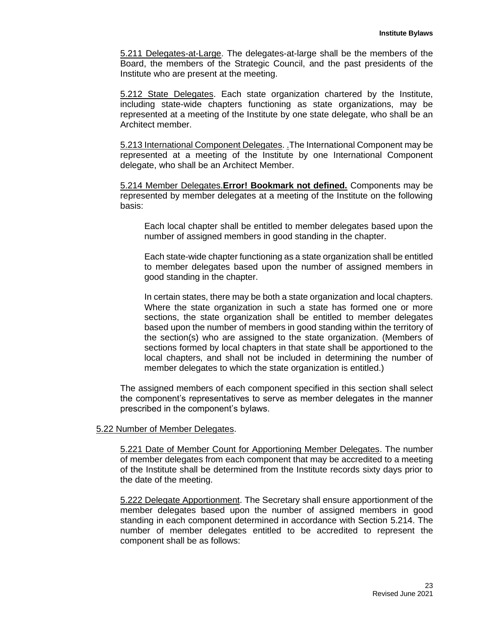5.211 Delegates-at-Large. The delegates-at-large shall be the members of the Board, the members of the Strategic Council, and the past presidents of the Institute who are present at the meeting.

5.212 State Delegates. Each state organization chartered by the Institute, including state-wide chapters functioning as state organizations, may be represented at a meeting of the Institute by one state delegate, who shall be an Architect member.

5.213 International Component Delegates. .The International Component may be represented at a meeting of the Institute by one International Component delegate, who shall be an Architect Member.

5.214 Member Delegates.**Error! Bookmark not defined.** Components may be represented by member delegates at a meeting of the Institute on the following basis:

Each local chapter shall be entitled to member delegates based upon the number of assigned members in good standing in the chapter.

Each state-wide chapter functioning as a state organization shall be entitled to member delegates based upon the number of assigned members in good standing in the chapter.

In certain states, there may be both a state organization and local chapters. Where the state organization in such a state has formed one or more sections, the state organization shall be entitled to member delegates based upon the number of members in good standing within the territory of the section(s) who are assigned to the state organization. (Members of sections formed by local chapters in that state shall be apportioned to the local chapters, and shall not be included in determining the number of member delegates to which the state organization is entitled.)

The assigned members of each component specified in this section shall select the component's representatives to serve as member delegates in the manner prescribed in the component's bylaws.

5.22 Number of Member Delegates.

5.221 Date of Member Count for Apportioning Member Delegates. The number of member delegates from each component that may be accredited to a meeting of the Institute shall be determined from the Institute records sixty days prior to the date of the meeting.

5.222 Delegate Apportionment. The Secretary shall ensure apportionment of the member delegates based upon the number of assigned members in good standing in each component determined in accordance with Section 5.214. The number of member delegates entitled to be accredited to represent the component shall be as follows: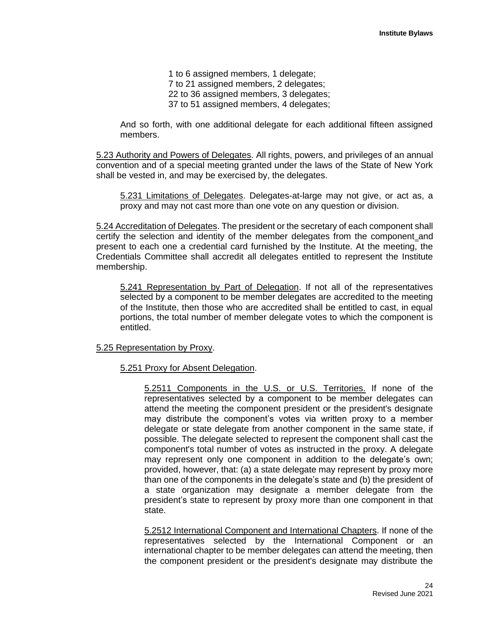1 to 6 assigned members, 1 delegate; 7 to 21 assigned members, 2 delegates; 22 to 36 assigned members, 3 delegates; 37 to 51 assigned members, 4 delegates;

And so forth, with one additional delegate for each additional fifteen assigned members.

5.23 Authority and Powers of Delegates. All rights, powers, and privileges of an annual convention and of a special meeting granted under the laws of the State of New York shall be vested in, and may be exercised by, the delegates.

5.231 Limitations of Delegates. Delegates-at-large may not give, or act as, a proxy and may not cast more than one vote on any question or division.

5.24 Accreditation of Delegates. The president or the secretary of each component shall certify the selection and identity of the member delegates from the component and present to each one a credential card furnished by the Institute. At the meeting, the Credentials Committee shall accredit all delegates entitled to represent the Institute membership.

5.241 Representation by Part of Delegation. If not all of the representatives selected by a component to be member delegates are accredited to the meeting of the Institute, then those who are accredited shall be entitled to cast, in equal portions, the total number of member delegate votes to which the component is entitled.

## 5.25 Representation by Proxy.

## 5.251 Proxy for Absent Delegation.

5.2511 Components in the U.S. or U.S. Territories. If none of the representatives selected by a component to be member delegates can attend the meeting the component president or the president's designate may distribute the component's votes via written proxy to a member delegate or state delegate from another component in the same state, if possible. The delegate selected to represent the component shall cast the component's total number of votes as instructed in the proxy. A delegate may represent only one component in addition to the delegate's own; provided, however, that: (a) a state delegate may represent by proxy more than one of the components in the delegate's state and (b) the president of a state organization may designate a member delegate from the president's state to represent by proxy more than one component in that state.

5.2512 International Component and International Chapters. If none of the representatives selected by the International Component or an international chapter to be member delegates can attend the meeting, then the component president or the president's designate may distribute the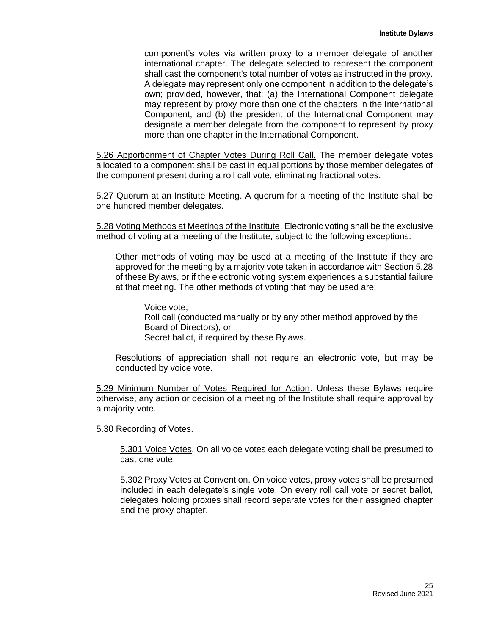component's votes via written proxy to a member delegate of another international chapter. The delegate selected to represent the component shall cast the component's total number of votes as instructed in the proxy. A delegate may represent only one component in addition to the delegate's own; provided, however, that: (a) the International Component delegate may represent by proxy more than one of the chapters in the International Component, and (b) the president of the International Component may designate a member delegate from the component to represent by proxy more than one chapter in the International Component.

5.26 Apportionment of Chapter Votes During Roll Call. The member delegate votes allocated to a component shall be cast in equal portions by those member delegates of the component present during a roll call vote, eliminating fractional votes.

5.27 Quorum at an Institute Meeting. A quorum for a meeting of the Institute shall be one hundred member delegates.

5.28 Voting Methods at Meetings of the Institute. Electronic voting shall be the exclusive method of voting at a meeting of the Institute, subject to the following exceptions:

Other methods of voting may be used at a meeting of the Institute if they are approved for the meeting by a majority vote taken in accordance with Section 5.28 of these Bylaws, or if the electronic voting system experiences a substantial failure at that meeting. The other methods of voting that may be used are:

Voice vote; Roll call (conducted manually or by any other method approved by the Board of Directors), or Secret ballot, if required by these Bylaws.

Resolutions of appreciation shall not require an electronic vote, but may be conducted by voice vote.

5.29 Minimum Number of Votes Required for Action. Unless these Bylaws require otherwise, any action or decision of a meeting of the Institute shall require approval by a majority vote.

5.30 Recording of Votes.

5.301 Voice Votes. On all voice votes each delegate voting shall be presumed to cast one vote.

5.302 Proxy Votes at Convention. On voice votes, proxy votes shall be presumed included in each delegate's single vote. On every roll call vote or secret ballot, delegates holding proxies shall record separate votes for their assigned chapter and the proxy chapter.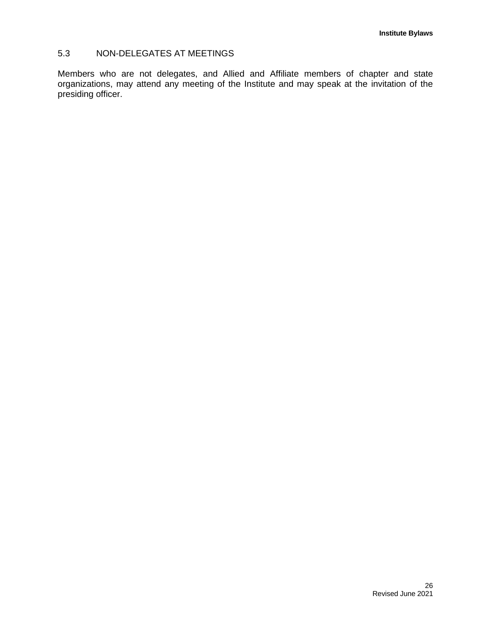# 5.3 NON-DELEGATES AT MEETINGS

Members who are not delegates, and Allied and Affiliate members of chapter and state organizations, may attend any meeting of the Institute and may speak at the invitation of the presiding officer.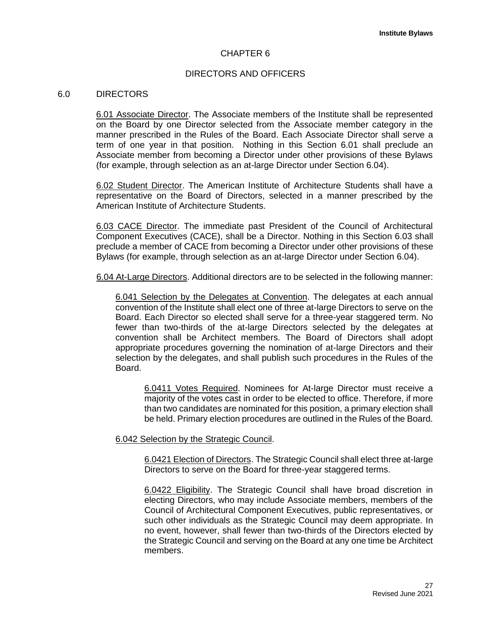## CHAPTER 6

## DIRECTORS AND OFFICERS

#### 6.0 DIRECTORS

6.01 Associate Director. The Associate members of the Institute shall be represented on the Board by one Director selected from the Associate member category in the manner prescribed in the Rules of the Board. Each Associate Director shall serve a term of one year in that position. Nothing in this Section 6.01 shall preclude an Associate member from becoming a Director under other provisions of these Bylaws (for example, through selection as an at-large Director under Section 6.04).

6.02 Student Director. The American Institute of Architecture Students shall have a representative on the Board of Directors, selected in a manner prescribed by the American Institute of Architecture Students.

6.03 CACE Director. The immediate past President of the Council of Architectural Component Executives (CACE), shall be a Director. Nothing in this Section 6.03 shall preclude a member of CACE from becoming a Director under other provisions of these Bylaws (for example, through selection as an at-large Director under Section 6.04).

6.04 At-Large Directors. Additional directors are to be selected in the following manner:

6.041 Selection by the Delegates at Convention. The delegates at each annual convention of the Institute shall elect one of three at-large Directors to serve on the Board. Each Director so elected shall serve for a three-year staggered term. No fewer than two-thirds of the at-large Directors selected by the delegates at convention shall be Architect members. The Board of Directors shall adopt appropriate procedures governing the nomination of at-large Directors and their selection by the delegates, and shall publish such procedures in the Rules of the Board.

6.0411 Votes Required. Nominees for At-large Director must receive a majority of the votes cast in order to be elected to office. Therefore, if more than two candidates are nominated for this position, a primary election shall be held. Primary election procedures are outlined in the Rules of the Board.

6.042 Selection by the Strategic Council.

6.0421 Election of Directors. The Strategic Council shall elect three at-large Directors to serve on the Board for three-year staggered terms.

6.0422 Eligibility. The Strategic Council shall have broad discretion in electing Directors, who may include Associate members, members of the Council of Architectural Component Executives, public representatives, or such other individuals as the Strategic Council may deem appropriate. In no event, however, shall fewer than two-thirds of the Directors elected by the Strategic Council and serving on the Board at any one time be Architect members.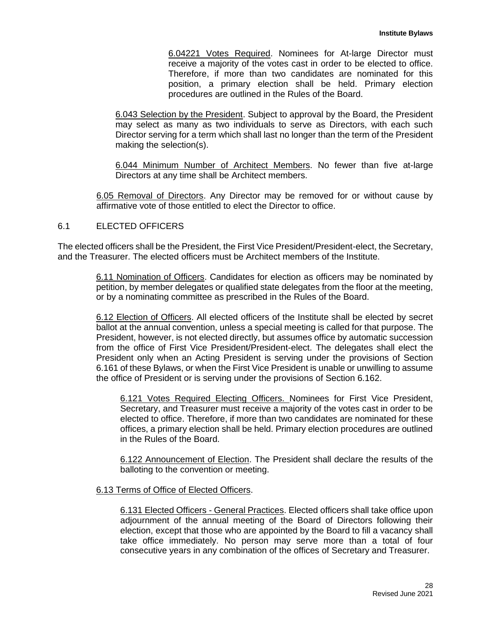6.04221 Votes Required. Nominees for At-large Director must receive a majority of the votes cast in order to be elected to office. Therefore, if more than two candidates are nominated for this position, a primary election shall be held. Primary election procedures are outlined in the Rules of the Board.

6.043 Selection by the President. Subject to approval by the Board, the President may select as many as two individuals to serve as Directors, with each such Director serving for a term which shall last no longer than the term of the President making the selection(s).

6.044 Minimum Number of Architect Members. No fewer than five at-large Directors at any time shall be Architect members.

6.05 Removal of Directors. Any Director may be removed for or without cause by affirmative vote of those entitled to elect the Director to office.

#### 6.1 ELECTED OFFICERS

The elected officers shall be the President, the First Vice President/President-elect, the Secretary, and the Treasurer. The elected officers must be Architect members of the Institute.

> 6.11 Nomination of Officers. Candidates for election as officers may be nominated by petition, by member delegates or qualified state delegates from the floor at the meeting, or by a nominating committee as prescribed in the Rules of the Board.

> 6.12 Election of Officers. All elected officers of the Institute shall be elected by secret ballot at the annual convention, unless a special meeting is called for that purpose. The President, however, is not elected directly, but assumes office by automatic succession from the office of First Vice President/President-elect. The delegates shall elect the President only when an Acting President is serving under the provisions of Section 6.161 of these Bylaws, or when the First Vice President is unable or unwilling to assume the office of President or is serving under the provisions of Section 6.162.

6.121 Votes Required Electing Officers. Nominees for First Vice President, Secretary, and Treasurer must receive a majority of the votes cast in order to be elected to office. Therefore, if more than two candidates are nominated for these offices, a primary election shall be held. Primary election procedures are outlined in the Rules of the Board.

6.122 Announcement of Election. The President shall declare the results of the balloting to the convention or meeting.

## 6.13 Terms of Office of Elected Officers.

6.131 Elected Officers - General Practices. Elected officers shall take office upon adjournment of the annual meeting of the Board of Directors following their election, except that those who are appointed by the Board to fill a vacancy shall take office immediately. No person may serve more than a total of four consecutive years in any combination of the offices of Secretary and Treasurer.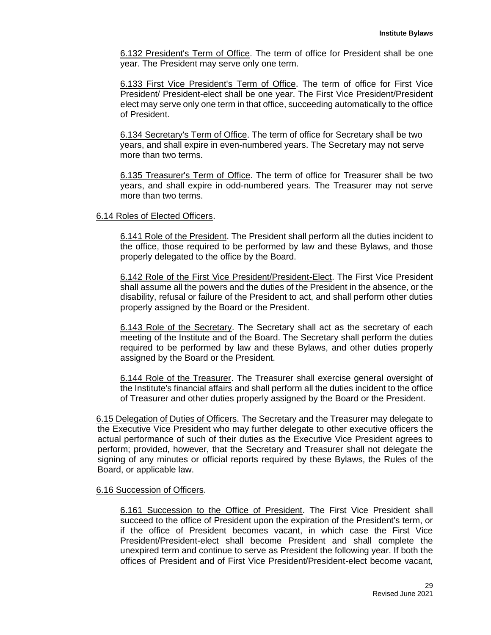6.132 President's Term of Office. The term of office for President shall be one year. The President may serve only one term.

6.133 First Vice President's Term of Office. The term of office for First Vice President/ President-elect shall be one year. The First Vice President/President elect may serve only one term in that office, succeeding automatically to the office of President.

6.134 Secretary's Term of Office. The term of office for Secretary shall be two years, and shall expire in even-numbered years. The Secretary may not serve more than two terms.

6.135 Treasurer's Term of Office. The term of office for Treasurer shall be two years, and shall expire in odd-numbered years. The Treasurer may not serve more than two terms.

## 6.14 Roles of Elected Officers.

6.141 Role of the President. The President shall perform all the duties incident to the office, those required to be performed by law and these Bylaws, and those properly delegated to the office by the Board.

6.142 Role of the First Vice President/President-Elect. The First Vice President shall assume all the powers and the duties of the President in the absence, or the disability, refusal or failure of the President to act, and shall perform other duties properly assigned by the Board or the President.

6.143 Role of the Secretary. The Secretary shall act as the secretary of each meeting of the Institute and of the Board. The Secretary shall perform the duties required to be performed by law and these Bylaws, and other duties properly assigned by the Board or the President.

6.144 Role of the Treasurer. The Treasurer shall exercise general oversight of the Institute's financial affairs and shall perform all the duties incident to the office of Treasurer and other duties properly assigned by the Board or the President.

6.15 Delegation of Duties of Officers. The Secretary and the Treasurer may delegate to the Executive Vice President who may further delegate to other executive officers the actual performance of such of their duties as the Executive Vice President agrees to perform; provided, however, that the Secretary and Treasurer shall not delegate the signing of any minutes or official reports required by these Bylaws, the Rules of the Board, or applicable law.

## 6.16 Succession of Officers.

6.161 Succession to the Office of President. The First Vice President shall succeed to the office of President upon the expiration of the President's term, or if the office of President becomes vacant, in which case the First Vice President/President-elect shall become President and shall complete the unexpired term and continue to serve as President the following year. If both the offices of President and of First Vice President/President-elect become vacant,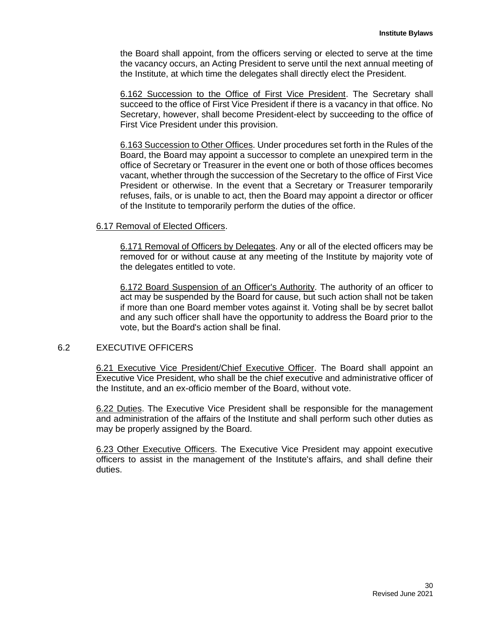the Board shall appoint, from the officers serving or elected to serve at the time the vacancy occurs, an Acting President to serve until the next annual meeting of the Institute, at which time the delegates shall directly elect the President.

6.162 Succession to the Office of First Vice President. The Secretary shall succeed to the office of First Vice President if there is a vacancy in that office. No Secretary, however, shall become President-elect by succeeding to the office of First Vice President under this provision.

6.163 Succession to Other Offices. Under procedures set forth in the Rules of the Board, the Board may appoint a successor to complete an unexpired term in the office of Secretary or Treasurer in the event one or both of those offices becomes vacant, whether through the succession of the Secretary to the office of First Vice President or otherwise. In the event that a Secretary or Treasurer temporarily refuses, fails, or is unable to act, then the Board may appoint a director or officer of the Institute to temporarily perform the duties of the office.

## 6.17 Removal of Elected Officers.

6.171 Removal of Officers by Delegates. Any or all of the elected officers may be removed for or without cause at any meeting of the Institute by majority vote of the delegates entitled to vote.

6.172 Board Suspension of an Officer's Authority. The authority of an officer to act may be suspended by the Board for cause, but such action shall not be taken if more than one Board member votes against it. Voting shall be by secret ballot and any such officer shall have the opportunity to address the Board prior to the vote, but the Board's action shall be final.

## 6.2 EXECUTIVE OFFICERS

6.21 Executive Vice President/Chief Executive Officer. The Board shall appoint an Executive Vice President, who shall be the chief executive and administrative officer of the Institute, and an ex-officio member of the Board, without vote.

6.22 Duties. The Executive Vice President shall be responsible for the management and administration of the affairs of the Institute and shall perform such other duties as may be properly assigned by the Board.

6.23 Other Executive Officers. The Executive Vice President may appoint executive officers to assist in the management of the Institute's affairs, and shall define their duties.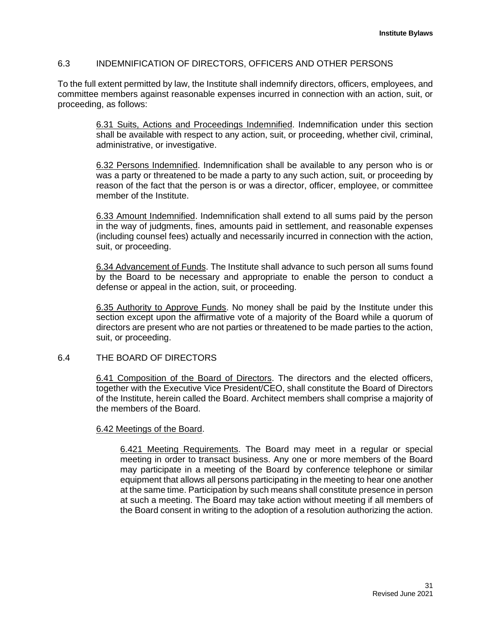# 6.3 INDEMNIFICATION OF DIRECTORS, OFFICERS AND OTHER PERSONS

To the full extent permitted by law, the Institute shall indemnify directors, officers, employees, and committee members against reasonable expenses incurred in connection with an action, suit, or proceeding, as follows:

> 6.31 Suits, Actions and Proceedings Indemnified. Indemnification under this section shall be available with respect to any action, suit, or proceeding, whether civil, criminal, administrative, or investigative.

> 6.32 Persons Indemnified. Indemnification shall be available to any person who is or was a party or threatened to be made a party to any such action, suit, or proceeding by reason of the fact that the person is or was a director, officer, employee, or committee member of the Institute.

> 6.33 Amount Indemnified. Indemnification shall extend to all sums paid by the person in the way of judgments, fines, amounts paid in settlement, and reasonable expenses (including counsel fees) actually and necessarily incurred in connection with the action, suit, or proceeding.

> 6.34 Advancement of Funds. The Institute shall advance to such person all sums found by the Board to be necessary and appropriate to enable the person to conduct a defense or appeal in the action, suit, or proceeding.

> 6.35 Authority to Approve Funds. No money shall be paid by the Institute under this section except upon the affirmative vote of a majority of the Board while a quorum of directors are present who are not parties or threatened to be made parties to the action, suit, or proceeding.

# 6.4 THE BOARD OF DIRECTORS

6.41 Composition of the Board of Directors. The directors and the elected officers, together with the Executive Vice President/CEO, shall constitute the Board of Directors of the Institute, herein called the Board. Architect members shall comprise a majority of the members of the Board.

## 6.42 Meetings of the Board.

6.421 Meeting Requirements. The Board may meet in a regular or special meeting in order to transact business. Any one or more members of the Board may participate in a meeting of the Board by conference telephone or similar equipment that allows all persons participating in the meeting to hear one another at the same time. Participation by such means shall constitute presence in person at such a meeting. The Board may take action without meeting if all members of the Board consent in writing to the adoption of a resolution authorizing the action.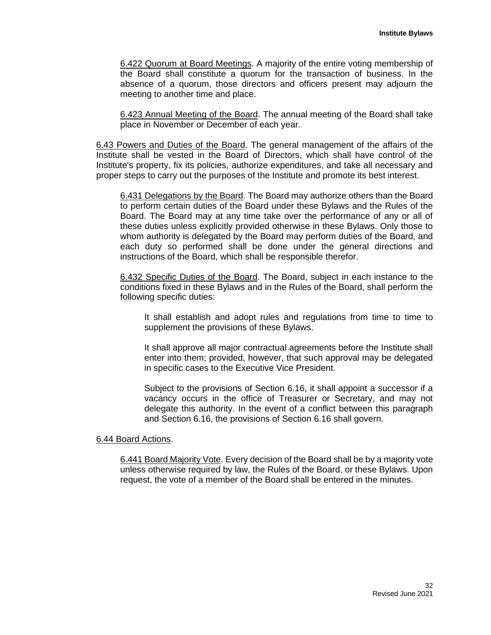6.422 Quorum at Board Meetings. A majority of the entire voting membership of the Board shall constitute a quorum for the transaction of business. In the absence of a quorum, those directors and officers present may adjourn the meeting to another time and place.

6.423 Annual Meeting of the Board. The annual meeting of the Board shall take place in November or December of each year.

6.43 Powers and Duties of the Board. The general management of the affairs of the Institute shall be vested in the Board of Directors, which shall have control of the Institute's property, fix its policies, authorize expenditures, and take all necessary and proper steps to carry out the purposes of the Institute and promote its best interest.

6.431 Delegations by the Board. The Board may authorize others than the Board to perform certain duties of the Board under these Bylaws and the Rules of the Board. The Board may at any time take over the performance of any or all of these duties unless explicitly provided otherwise in these Bylaws. Only those to whom authority is delegated by the Board may perform duties of the Board, and each duty so performed shall be done under the general directions and instructions of the Board, which shall be responsible therefor.

6.432 Specific Duties of the Board. The Board, subject in each instance to the conditions fixed in these Bylaws and in the Rules of the Board, shall perform the following specific duties:

It shall establish and adopt rules and regulations from time to time to supplement the provisions of these Bylaws.

It shall approve all major contractual agreements before the Institute shall enter into them; provided, however, that such approval may be delegated in specific cases to the Executive Vice President.

Subject to the provisions of Section 6.16, it shall appoint a successor if a vacancy occurs in the office of Treasurer or Secretary, and may not delegate this authority. In the event of a conflict between this paragraph and Section 6.16, the provisions of Section 6.16 shall govern.

# 6.44 Board Actions.

6.441 Board Majority Vote. Every decision of the Board shall be by a majority vote unless otherwise required by law, the Rules of the Board, or these Bylaws. Upon request, the vote of a member of the Board shall be entered in the minutes.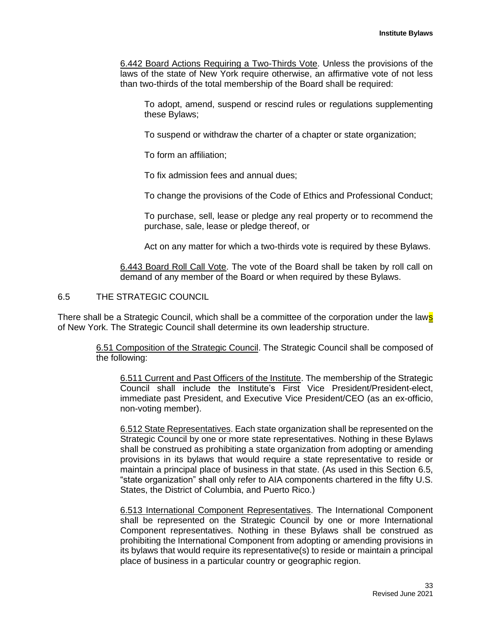6.442 Board Actions Requiring a Two-Thirds Vote. Unless the provisions of the laws of the state of New York require otherwise, an affirmative vote of not less than two-thirds of the total membership of the Board shall be required:

To adopt, amend, suspend or rescind rules or regulations supplementing these Bylaws;

To suspend or withdraw the charter of a chapter or state organization;

To form an affiliation;

To fix admission fees and annual dues;

To change the provisions of the Code of Ethics and Professional Conduct;

To purchase, sell, lease or pledge any real property or to recommend the purchase, sale, lease or pledge thereof, or

Act on any matter for which a two-thirds vote is required by these Bylaws.

6.443 Board Roll Call Vote. The vote of the Board shall be taken by roll call on demand of any member of the Board or when required by these Bylaws.

6.5 THE STRATEGIC COUNCIL

There shall be a Strategic Council, which shall be a committee of the corporation under the laws of New York. The Strategic Council shall determine its own leadership structure.

> 6.51 Composition of the Strategic Council. The Strategic Council shall be composed of the following:

6.511 Current and Past Officers of the Institute. The membership of the Strategic Council shall include the Institute's First Vice President/President-elect, immediate past President, and Executive Vice President/CEO (as an ex-officio, non-voting member).

6.512 State Representatives. Each state organization shall be represented on the Strategic Council by one or more state representatives. Nothing in these Bylaws shall be construed as prohibiting a state organization from adopting or amending provisions in its bylaws that would require a state representative to reside or maintain a principal place of business in that state. (As used in this Section 6.5, "state organization" shall only refer to AIA components chartered in the fifty U.S. States, the District of Columbia, and Puerto Rico.)

6.513 International Component Representatives. The International Component shall be represented on the Strategic Council by one or more International Component representatives. Nothing in these Bylaws shall be construed as prohibiting the International Component from adopting or amending provisions in its bylaws that would require its representative(s) to reside or maintain a principal place of business in a particular country or geographic region.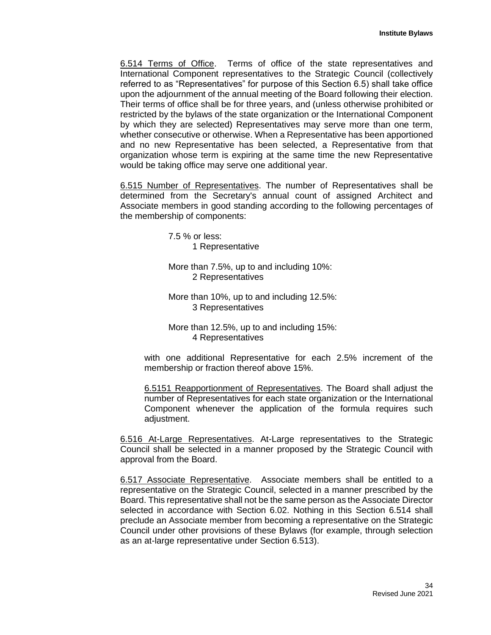6.514 Terms of Office. Terms of office of the state representatives and International Component representatives to the Strategic Council (collectively referred to as "Representatives" for purpose of this Section 6.5) shall take office upon the adjournment of the annual meeting of the Board following their election. Their terms of office shall be for three years, and (unless otherwise prohibited or restricted by the bylaws of the state organization or the International Component by which they are selected) Representatives may serve more than one term, whether consecutive or otherwise. When a Representative has been apportioned and no new Representative has been selected, a Representative from that organization whose term is expiring at the same time the new Representative would be taking office may serve one additional year.

6.515 Number of Representatives. The number of Representatives shall be determined from the Secretary's annual count of assigned Architect and Associate members in good standing according to the following percentages of the membership of components:

> 7.5 % or less: 1 Representative

More than 7.5%, up to and including 10%: 2 Representatives

More than 10%, up to and including 12.5%: 3 Representatives

More than 12.5%, up to and including 15%: 4 Representatives

with one additional Representative for each 2.5% increment of the membership or fraction thereof above 15%.

6.5151 Reapportionment of Representatives. The Board shall adjust the number of Representatives for each state organization or the International Component whenever the application of the formula requires such adjustment.

6.516 At-Large Representatives. At-Large representatives to the Strategic Council shall be selected in a manner proposed by the Strategic Council with approval from the Board.

6.517 Associate Representative. Associate members shall be entitled to a representative on the Strategic Council, selected in a manner prescribed by the Board. This representative shall not be the same person as the Associate Director selected in accordance with Section 6.02. Nothing in this Section 6.514 shall preclude an Associate member from becoming a representative on the Strategic Council under other provisions of these Bylaws (for example, through selection as an at-large representative under Section 6.513).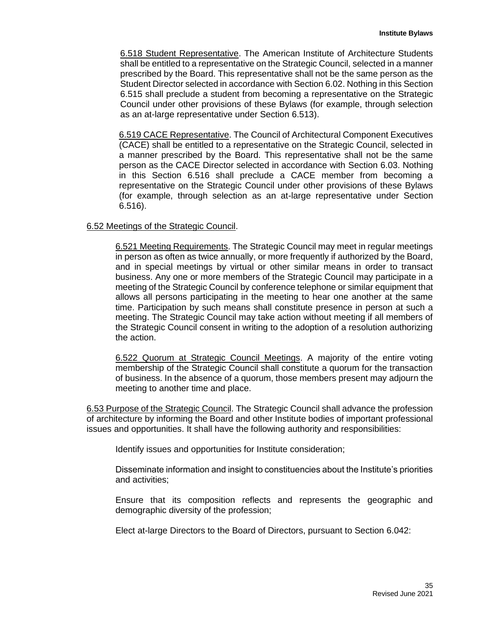6.518 Student Representative. The American Institute of Architecture Students shall be entitled to a representative on the Strategic Council, selected in a manner prescribed by the Board. This representative shall not be the same person as the Student Director selected in accordance with Section 6.02. Nothing in this Section 6.515 shall preclude a student from becoming a representative on the Strategic Council under other provisions of these Bylaws (for example, through selection as an at-large representative under Section 6.513).

6.519 CACE Representative. The Council of Architectural Component Executives (CACE) shall be entitled to a representative on the Strategic Council, selected in a manner prescribed by the Board. This representative shall not be the same person as the CACE Director selected in accordance with Section 6.03. Nothing in this Section 6.516 shall preclude a CACE member from becoming a representative on the Strategic Council under other provisions of these Bylaws (for example, through selection as an at-large representative under Section 6.516).

## 6.52 Meetings of the Strategic Council.

6.521 Meeting Requirements. The Strategic Council may meet in regular meetings in person as often as twice annually, or more frequently if authorized by the Board, and in special meetings by virtual or other similar means in order to transact business. Any one or more members of the Strategic Council may participate in a meeting of the Strategic Council by conference telephone or similar equipment that allows all persons participating in the meeting to hear one another at the same time. Participation by such means shall constitute presence in person at such a meeting. The Strategic Council may take action without meeting if all members of the Strategic Council consent in writing to the adoption of a resolution authorizing the action.

6.522 Quorum at Strategic Council Meetings. A majority of the entire voting membership of the Strategic Council shall constitute a quorum for the transaction of business. In the absence of a quorum, those members present may adjourn the meeting to another time and place.

6.53 Purpose of the Strategic Council. The Strategic Council shall advance the profession of architecture by informing the Board and other Institute bodies of important professional issues and opportunities. It shall have the following authority and responsibilities:

Identify issues and opportunities for Institute consideration;

Disseminate information and insight to constituencies about the Institute's priorities and activities;

Ensure that its composition reflects and represents the geographic and demographic diversity of the profession;

Elect at-large Directors to the Board of Directors, pursuant to Section 6.042: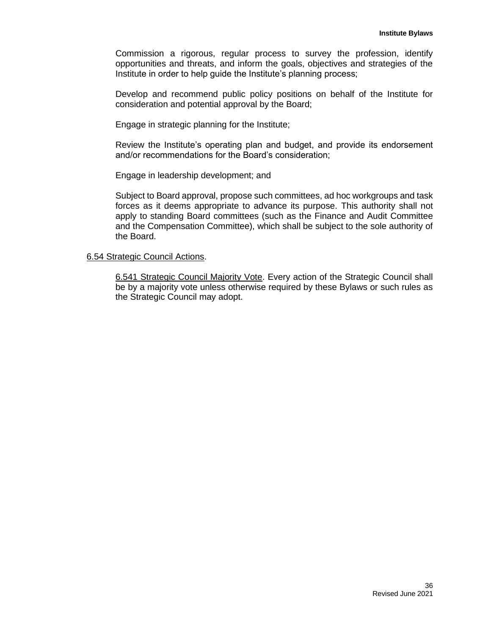Commission a rigorous, regular process to survey the profession, identify opportunities and threats, and inform the goals, objectives and strategies of the Institute in order to help guide the Institute's planning process;

Develop and recommend public policy positions on behalf of the Institute for consideration and potential approval by the Board;

Engage in strategic planning for the Institute;

Review the Institute's operating plan and budget, and provide its endorsement and/or recommendations for the Board's consideration;

Engage in leadership development; and

Subject to Board approval, propose such committees, ad hoc workgroups and task forces as it deems appropriate to advance its purpose. This authority shall not apply to standing Board committees (such as the Finance and Audit Committee and the Compensation Committee), which shall be subject to the sole authority of the Board.

6.54 Strategic Council Actions.

6.541 Strategic Council Majority Vote. Every action of the Strategic Council shall be by a majority vote unless otherwise required by these Bylaws or such rules as the Strategic Council may adopt.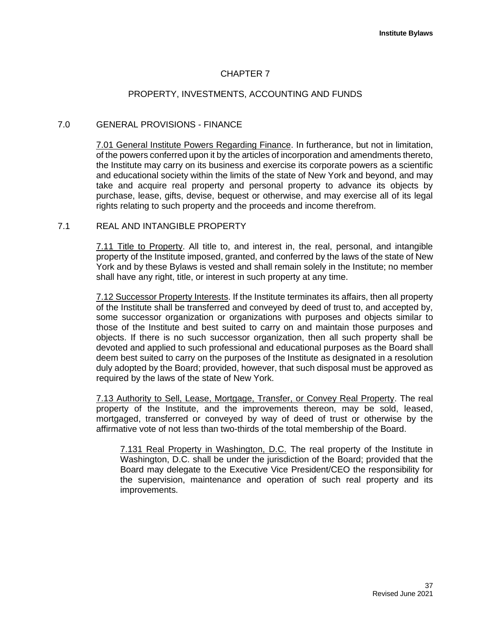# CHAPTER 7

# PROPERTY, INVESTMENTS, ACCOUNTING AND FUNDS

# 7.0 GENERAL PROVISIONS - FINANCE

7.01 General Institute Powers Regarding Finance. In furtherance, but not in limitation, of the powers conferred upon it by the articles of incorporation and amendments thereto, the Institute may carry on its business and exercise its corporate powers as a scientific and educational society within the limits of the state of New York and beyond, and may take and acquire real property and personal property to advance its objects by purchase, lease, gifts, devise, bequest or otherwise, and may exercise all of its legal rights relating to such property and the proceeds and income therefrom.

## 7.1 REAL AND INTANGIBLE PROPERTY

7.11 Title to Property. All title to, and interest in, the real, personal, and intangible property of the Institute imposed, granted, and conferred by the laws of the state of New York and by these Bylaws is vested and shall remain solely in the Institute; no member shall have any right, title, or interest in such property at any time.

7.12 Successor Property Interests. If the Institute terminates its affairs, then all property of the Institute shall be transferred and conveyed by deed of trust to, and accepted by, some successor organization or organizations with purposes and objects similar to those of the Institute and best suited to carry on and maintain those purposes and objects. If there is no such successor organization, then all such property shall be devoted and applied to such professional and educational purposes as the Board shall deem best suited to carry on the purposes of the Institute as designated in a resolution duly adopted by the Board; provided, however, that such disposal must be approved as required by the laws of the state of New York.

7.13 Authority to Sell, Lease, Mortgage, Transfer, or Convey Real Property. The real property of the Institute, and the improvements thereon, may be sold, leased, mortgaged, transferred or conveyed by way of deed of trust or otherwise by the affirmative vote of not less than two-thirds of the total membership of the Board.

7.131 Real Property in Washington, D.C. The real property of the Institute in Washington, D.C. shall be under the jurisdiction of the Board; provided that the Board may delegate to the Executive Vice President/CEO the responsibility for the supervision, maintenance and operation of such real property and its improvements.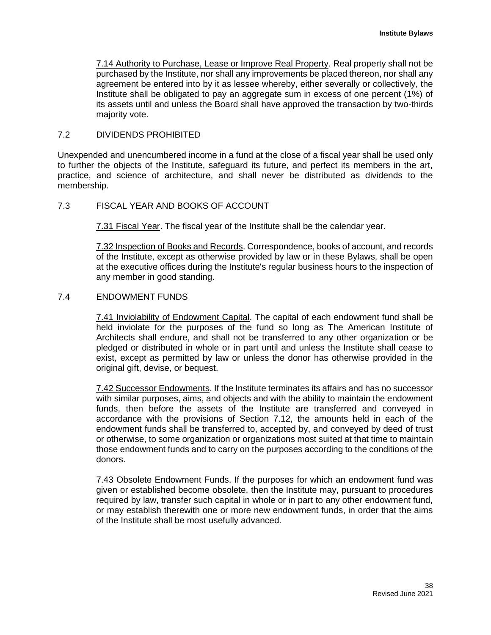7.14 Authority to Purchase, Lease or Improve Real Property. Real property shall not be purchased by the Institute, nor shall any improvements be placed thereon, nor shall any agreement be entered into by it as lessee whereby, either severally or collectively, the Institute shall be obligated to pay an aggregate sum in excess of one percent (1%) of its assets until and unless the Board shall have approved the transaction by two-thirds majority vote.

## 7.2 DIVIDENDS PROHIBITED

Unexpended and unencumbered income in a fund at the close of a fiscal year shall be used only to further the objects of the Institute, safeguard its future, and perfect its members in the art, practice, and science of architecture, and shall never be distributed as dividends to the membership.

# 7.3 FISCAL YEAR AND BOOKS OF ACCOUNT

7.31 Fiscal Year. The fiscal year of the Institute shall be the calendar year.

7.32 Inspection of Books and Records. Correspondence, books of account, and records of the Institute, except as otherwise provided by law or in these Bylaws, shall be open at the executive offices during the Institute's regular business hours to the inspection of any member in good standing.

## 7.4 ENDOWMENT FUNDS

7.41 Inviolability of Endowment Capital. The capital of each endowment fund shall be held inviolate for the purposes of the fund so long as The American Institute of Architects shall endure, and shall not be transferred to any other organization or be pledged or distributed in whole or in part until and unless the Institute shall cease to exist, except as permitted by law or unless the donor has otherwise provided in the original gift, devise, or bequest.

7.42 Successor Endowments. If the Institute terminates its affairs and has no successor with similar purposes, aims, and objects and with the ability to maintain the endowment funds, then before the assets of the Institute are transferred and conveyed in accordance with the provisions of Section 7.12, the amounts held in each of the endowment funds shall be transferred to, accepted by, and conveyed by deed of trust or otherwise, to some organization or organizations most suited at that time to maintain those endowment funds and to carry on the purposes according to the conditions of the donors.

7.43 Obsolete Endowment Funds. If the purposes for which an endowment fund was given or established become obsolete, then the Institute may, pursuant to procedures required by law, transfer such capital in whole or in part to any other endowment fund, or may establish therewith one or more new endowment funds, in order that the aims of the Institute shall be most usefully advanced.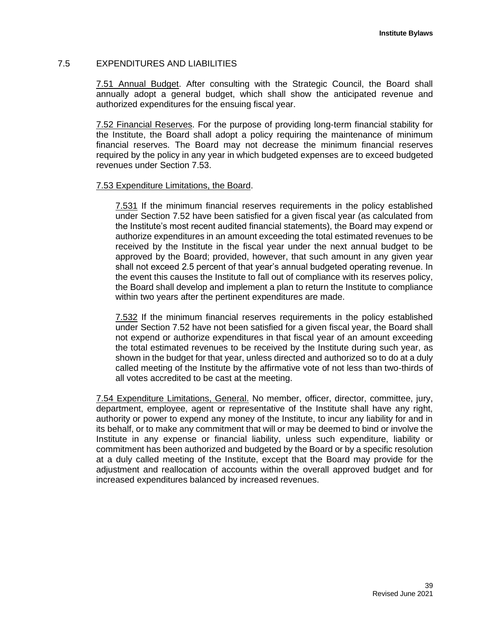# 7.5 EXPENDITURES AND LIABILITIES

7.51 Annual Budget. After consulting with the Strategic Council, the Board shall annually adopt a general budget, which shall show the anticipated revenue and authorized expenditures for the ensuing fiscal year.

7.52 Financial Reserves. For the purpose of providing long-term financial stability for the Institute, the Board shall adopt a policy requiring the maintenance of minimum financial reserves. The Board may not decrease the minimum financial reserves required by the policy in any year in which budgeted expenses are to exceed budgeted revenues under Section 7.53.

## 7.53 Expenditure Limitations, the Board.

7.531 If the minimum financial reserves requirements in the policy established under Section 7.52 have been satisfied for a given fiscal year (as calculated from the Institute's most recent audited financial statements), the Board may expend or authorize expenditures in an amount exceeding the total estimated revenues to be received by the Institute in the fiscal year under the next annual budget to be approved by the Board; provided, however, that such amount in any given year shall not exceed 2.5 percent of that year's annual budgeted operating revenue. In the event this causes the Institute to fall out of compliance with its reserves policy, the Board shall develop and implement a plan to return the Institute to compliance within two years after the pertinent expenditures are made.

7.532 If the minimum financial reserves requirements in the policy established under Section 7.52 have not been satisfied for a given fiscal year, the Board shall not expend or authorize expenditures in that fiscal year of an amount exceeding the total estimated revenues to be received by the Institute during such year, as shown in the budget for that year, unless directed and authorized so to do at a duly called meeting of the Institute by the affirmative vote of not less than two-thirds of all votes accredited to be cast at the meeting.

7.54 Expenditure Limitations, General. No member, officer, director, committee, jury, department, employee, agent or representative of the Institute shall have any right, authority or power to expend any money of the Institute, to incur any liability for and in its behalf, or to make any commitment that will or may be deemed to bind or involve the Institute in any expense or financial liability, unless such expenditure, liability or commitment has been authorized and budgeted by the Board or by a specific resolution at a duly called meeting of the Institute, except that the Board may provide for the adjustment and reallocation of accounts within the overall approved budget and for increased expenditures balanced by increased revenues.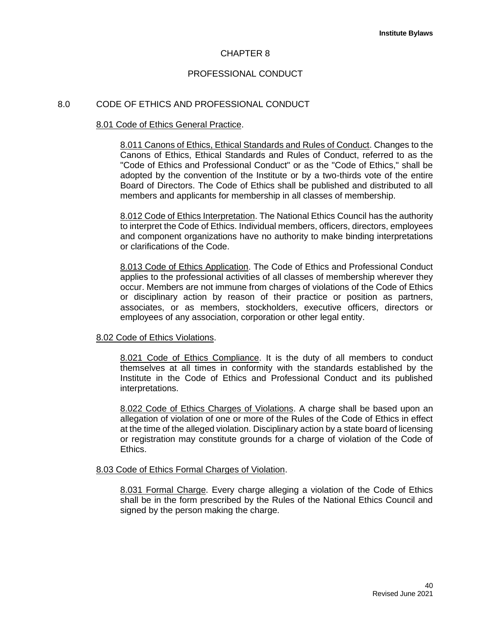# CHAPTER 8

# PROFESSIONAL CONDUCT

## 8.0 CODE OF ETHICS AND PROFESSIONAL CONDUCT

#### 8.01 Code of Ethics General Practice.

8.011 Canons of Ethics, Ethical Standards and Rules of Conduct. Changes to the Canons of Ethics, Ethical Standards and Rules of Conduct, referred to as the "Code of Ethics and Professional Conduct" or as the "Code of Ethics," shall be adopted by the convention of the Institute or by a two-thirds vote of the entire Board of Directors. The Code of Ethics shall be published and distributed to all members and applicants for membership in all classes of membership.

8.012 Code of Ethics Interpretation. The National Ethics Council has the authority to interpret the Code of Ethics. Individual members, officers, directors, employees and component organizations have no authority to make binding interpretations or clarifications of the Code.

8.013 Code of Ethics Application. The Code of Ethics and Professional Conduct applies to the professional activities of all classes of membership wherever they occur. Members are not immune from charges of violations of the Code of Ethics or disciplinary action by reason of their practice or position as partners, associates, or as members, stockholders, executive officers, directors or employees of any association, corporation or other legal entity.

#### 8.02 Code of Ethics Violations.

8.021 Code of Ethics Compliance. It is the duty of all members to conduct themselves at all times in conformity with the standards established by the Institute in the Code of Ethics and Professional Conduct and its published interpretations.

8.022 Code of Ethics Charges of Violations. A charge shall be based upon an allegation of violation of one or more of the Rules of the Code of Ethics in effect at the time of the alleged violation. Disciplinary action by a state board of licensing or registration may constitute grounds for a charge of violation of the Code of Ethics.

## 8.03 Code of Ethics Formal Charges of Violation.

8.031 Formal Charge. Every charge alleging a violation of the Code of Ethics shall be in the form prescribed by the Rules of the National Ethics Council and signed by the person making the charge.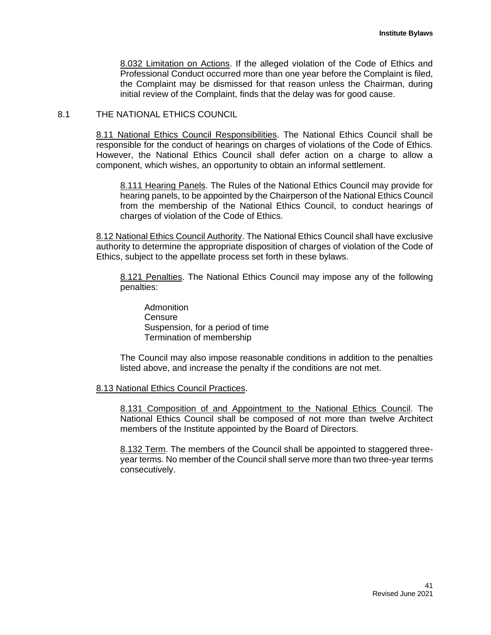8.032 Limitation on Actions. If the alleged violation of the Code of Ethics and Professional Conduct occurred more than one year before the Complaint is filed, the Complaint may be dismissed for that reason unless the Chairman, during initial review of the Complaint, finds that the delay was for good cause.

## 8.1 THE NATIONAL ETHICS COUNCIL

8.11 National Ethics Council Responsibilities. The National Ethics Council shall be responsible for the conduct of hearings on charges of violations of the Code of Ethics. However, the National Ethics Council shall defer action on a charge to allow a component, which wishes, an opportunity to obtain an informal settlement.

8.111 Hearing Panels. The Rules of the National Ethics Council may provide for hearing panels, to be appointed by the Chairperson of the National Ethics Council from the membership of the National Ethics Council, to conduct hearings of charges of violation of the Code of Ethics.

8.12 National Ethics Council Authority. The National Ethics Council shall have exclusive authority to determine the appropriate disposition of charges of violation of the Code of Ethics, subject to the appellate process set forth in these bylaws.

8.121 Penalties. The National Ethics Council may impose any of the following penalties:

Admonition **Censure** Suspension, for a period of time Termination of membership

The Council may also impose reasonable conditions in addition to the penalties listed above, and increase the penalty if the conditions are not met.

#### 8.13 National Ethics Council Practices.

8.131 Composition of and Appointment to the National Ethics Council. The National Ethics Council shall be composed of not more than twelve Architect members of the Institute appointed by the Board of Directors.

8.132 Term. The members of the Council shall be appointed to staggered threeyear terms. No member of the Council shall serve more than two three-year terms consecutively.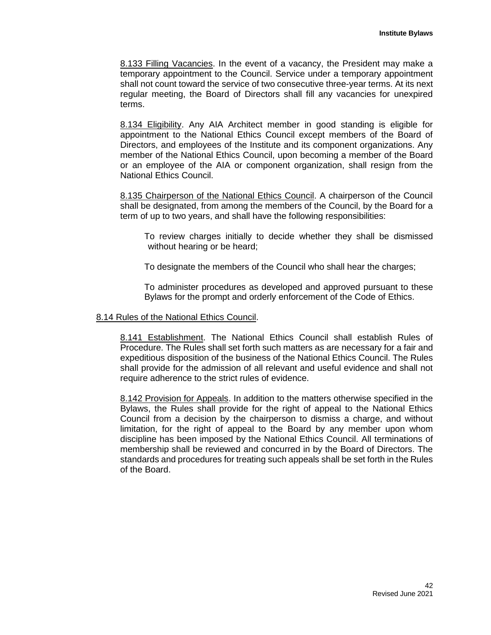8.133 Filling Vacancies. In the event of a vacancy, the President may make a temporary appointment to the Council. Service under a temporary appointment shall not count toward the service of two consecutive three-year terms. At its next regular meeting, the Board of Directors shall fill any vacancies for unexpired terms.

8.134 Eligibility. Any AIA Architect member in good standing is eligible for appointment to the National Ethics Council except members of the Board of Directors, and employees of the Institute and its component organizations. Any member of the National Ethics Council, upon becoming a member of the Board or an employee of the AIA or component organization, shall resign from the National Ethics Council.

8.135 Chairperson of the National Ethics Council. A chairperson of the Council shall be designated, from among the members of the Council, by the Board for a term of up to two years, and shall have the following responsibilities:

To review charges initially to decide whether they shall be dismissed without hearing or be heard;

To designate the members of the Council who shall hear the charges;

To administer procedures as developed and approved pursuant to these Bylaws for the prompt and orderly enforcement of the Code of Ethics.

#### 8.14 Rules of the National Ethics Council.

8.141 Establishment. The National Ethics Council shall establish Rules of Procedure. The Rules shall set forth such matters as are necessary for a fair and expeditious disposition of the business of the National Ethics Council. The Rules shall provide for the admission of all relevant and useful evidence and shall not require adherence to the strict rules of evidence.

8.142 Provision for Appeals. In addition to the matters otherwise specified in the Bylaws, the Rules shall provide for the right of appeal to the National Ethics Council from a decision by the chairperson to dismiss a charge, and without limitation, for the right of appeal to the Board by any member upon whom discipline has been imposed by the National Ethics Council. All terminations of membership shall be reviewed and concurred in by the Board of Directors. The standards and procedures for treating such appeals shall be set forth in the Rules of the Board.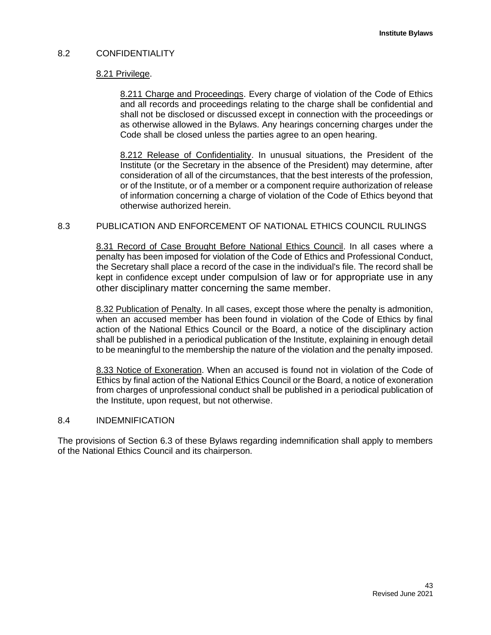# 8.2 CONFIDENTIALITY

## 8.21 Privilege.

8.211 Charge and Proceedings. Every charge of violation of the Code of Ethics and all records and proceedings relating to the charge shall be confidential and shall not be disclosed or discussed except in connection with the proceedings or as otherwise allowed in the Bylaws. Any hearings concerning charges under the Code shall be closed unless the parties agree to an open hearing.

8.212 Release of Confidentiality. In unusual situations, the President of the Institute (or the Secretary in the absence of the President) may determine, after consideration of all of the circumstances, that the best interests of the profession, or of the Institute, or of a member or a component require authorization of release of information concerning a charge of violation of the Code of Ethics beyond that otherwise authorized herein.

# 8.3 PUBLICATION AND ENFORCEMENT OF NATIONAL ETHICS COUNCIL RULINGS

8.31 Record of Case Brought Before National Ethics Council. In all cases where a penalty has been imposed for violation of the Code of Ethics and Professional Conduct, the Secretary shall place a record of the case in the individual's file. The record shall be kept in confidence except under compulsion of law or for appropriate use in any other disciplinary matter concerning the same member.

8.32 Publication of Penalty. In all cases, except those where the penalty is admonition, when an accused member has been found in violation of the Code of Ethics by final action of the National Ethics Council or the Board, a notice of the disciplinary action shall be published in a periodical publication of the Institute, explaining in enough detail to be meaningful to the membership the nature of the violation and the penalty imposed.

8.33 Notice of Exoneration. When an accused is found not in violation of the Code of Ethics by final action of the National Ethics Council or the Board, a notice of exoneration from charges of unprofessional conduct shall be published in a periodical publication of the Institute, upon request, but not otherwise.

## 8.4 INDEMNIFICATION

The provisions of Section 6.3 of these Bylaws regarding indemnification shall apply to members of the National Ethics Council and its chairperson.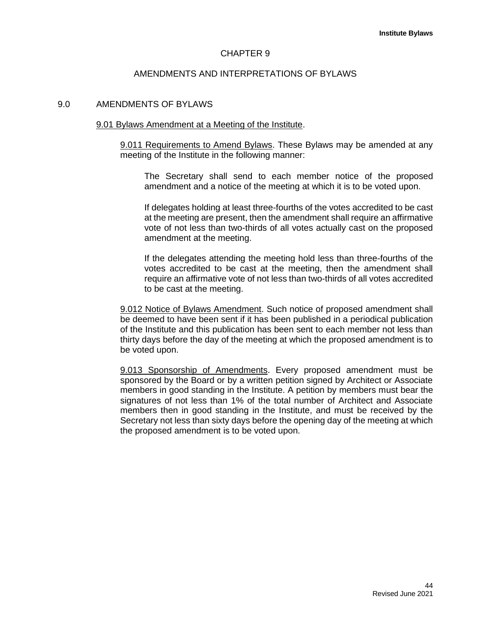#### CHAPTER 9

#### AMENDMENTS AND INTERPRETATIONS OF BYLAWS

#### 9.0 AMENDMENTS OF BYLAWS

#### 9.01 Bylaws Amendment at a Meeting of the Institute.

9.011 Requirements to Amend Bylaws. These Bylaws may be amended at any meeting of the Institute in the following manner:

The Secretary shall send to each member notice of the proposed amendment and a notice of the meeting at which it is to be voted upon.

If delegates holding at least three-fourths of the votes accredited to be cast at the meeting are present, then the amendment shall require an affirmative vote of not less than two-thirds of all votes actually cast on the proposed amendment at the meeting.

If the delegates attending the meeting hold less than three-fourths of the votes accredited to be cast at the meeting, then the amendment shall require an affirmative vote of not less than two-thirds of all votes accredited to be cast at the meeting.

9.012 Notice of Bylaws Amendment. Such notice of proposed amendment shall be deemed to have been sent if it has been published in a periodical publication of the Institute and this publication has been sent to each member not less than thirty days before the day of the meeting at which the proposed amendment is to be voted upon.

9.013 Sponsorship of Amendments. Every proposed amendment must be sponsored by the Board or by a written petition signed by Architect or Associate members in good standing in the Institute. A petition by members must bear the signatures of not less than 1% of the total number of Architect and Associate members then in good standing in the Institute, and must be received by the Secretary not less than sixty days before the opening day of the meeting at which the proposed amendment is to be voted upon.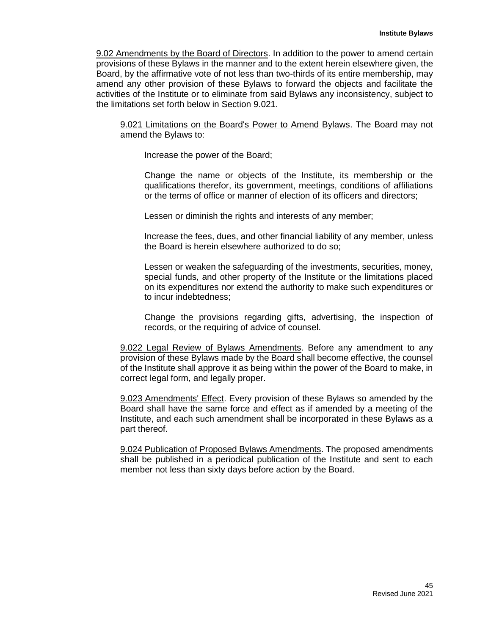9.02 Amendments by the Board of Directors. In addition to the power to amend certain provisions of these Bylaws in the manner and to the extent herein elsewhere given, the Board, by the affirmative vote of not less than two-thirds of its entire membership, may amend any other provision of these Bylaws to forward the objects and facilitate the activities of the Institute or to eliminate from said Bylaws any inconsistency, subject to the limitations set forth below in Section 9.021.

9.021 Limitations on the Board's Power to Amend Bylaws. The Board may not amend the Bylaws to:

Increase the power of the Board;

Change the name or objects of the Institute, its membership or the qualifications therefor, its government, meetings, conditions of affiliations or the terms of office or manner of election of its officers and directors;

Lessen or diminish the rights and interests of any member;

Increase the fees, dues, and other financial liability of any member, unless the Board is herein elsewhere authorized to do so;

Lessen or weaken the safeguarding of the investments, securities, money, special funds, and other property of the Institute or the limitations placed on its expenditures nor extend the authority to make such expenditures or to incur indebtedness;

Change the provisions regarding gifts, advertising, the inspection of records, or the requiring of advice of counsel.

9.022 Legal Review of Bylaws Amendments. Before any amendment to any provision of these Bylaws made by the Board shall become effective, the counsel of the Institute shall approve it as being within the power of the Board to make, in correct legal form, and legally proper.

9.023 Amendments' Effect. Every provision of these Bylaws so amended by the Board shall have the same force and effect as if amended by a meeting of the Institute, and each such amendment shall be incorporated in these Bylaws as a part thereof.

9.024 Publication of Proposed Bylaws Amendments. The proposed amendments shall be published in a periodical publication of the Institute and sent to each member not less than sixty days before action by the Board.